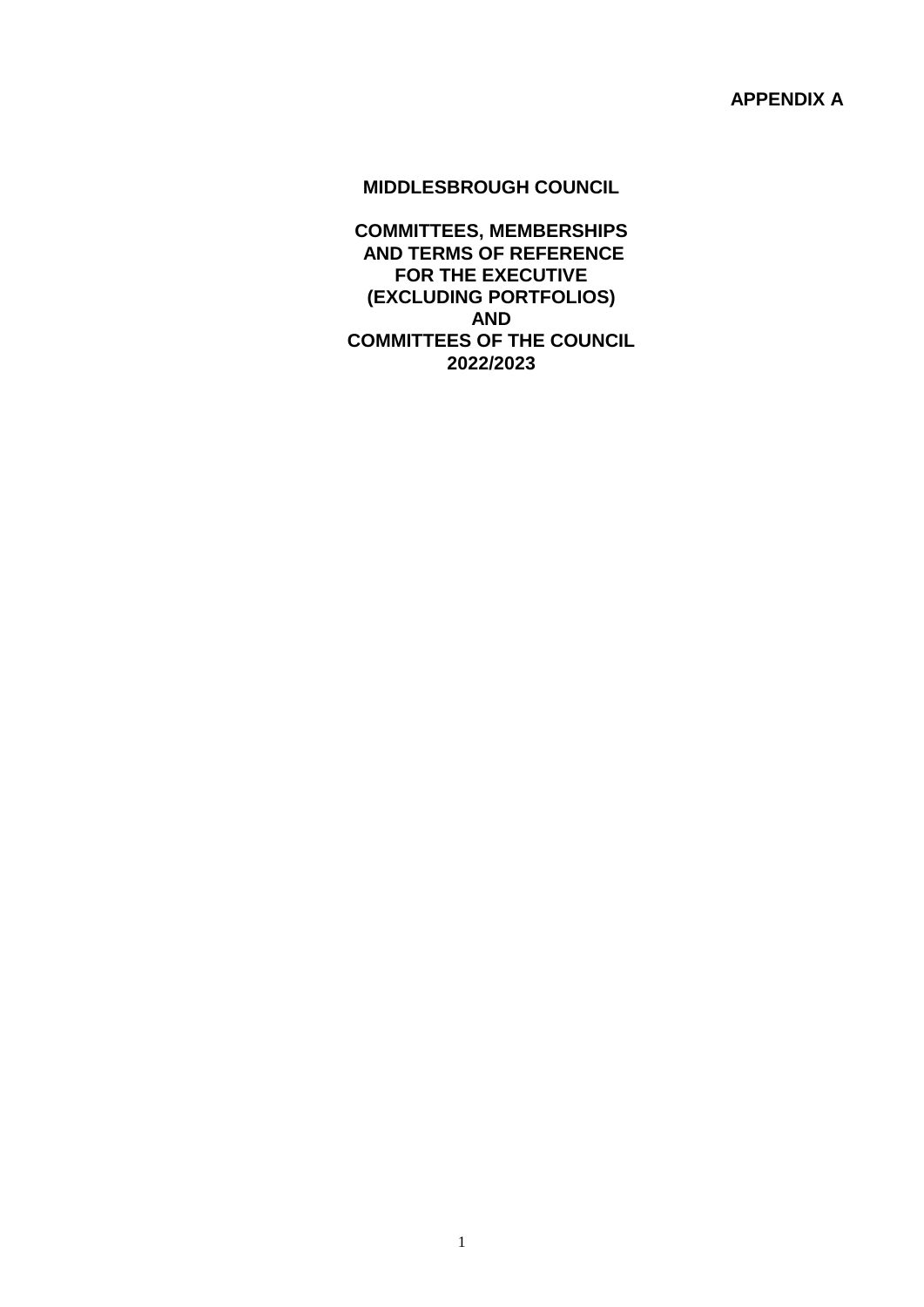**APPENDIX A**

### **MIDDLESBROUGH COUNCIL**

**COMMITTEES, MEMBERSHIPS AND TERMS OF REFERENCE FOR THE EXECUTIVE (EXCLUDING PORTFOLIOS) AND COMMITTEES OF THE COUNCIL 2022/2023**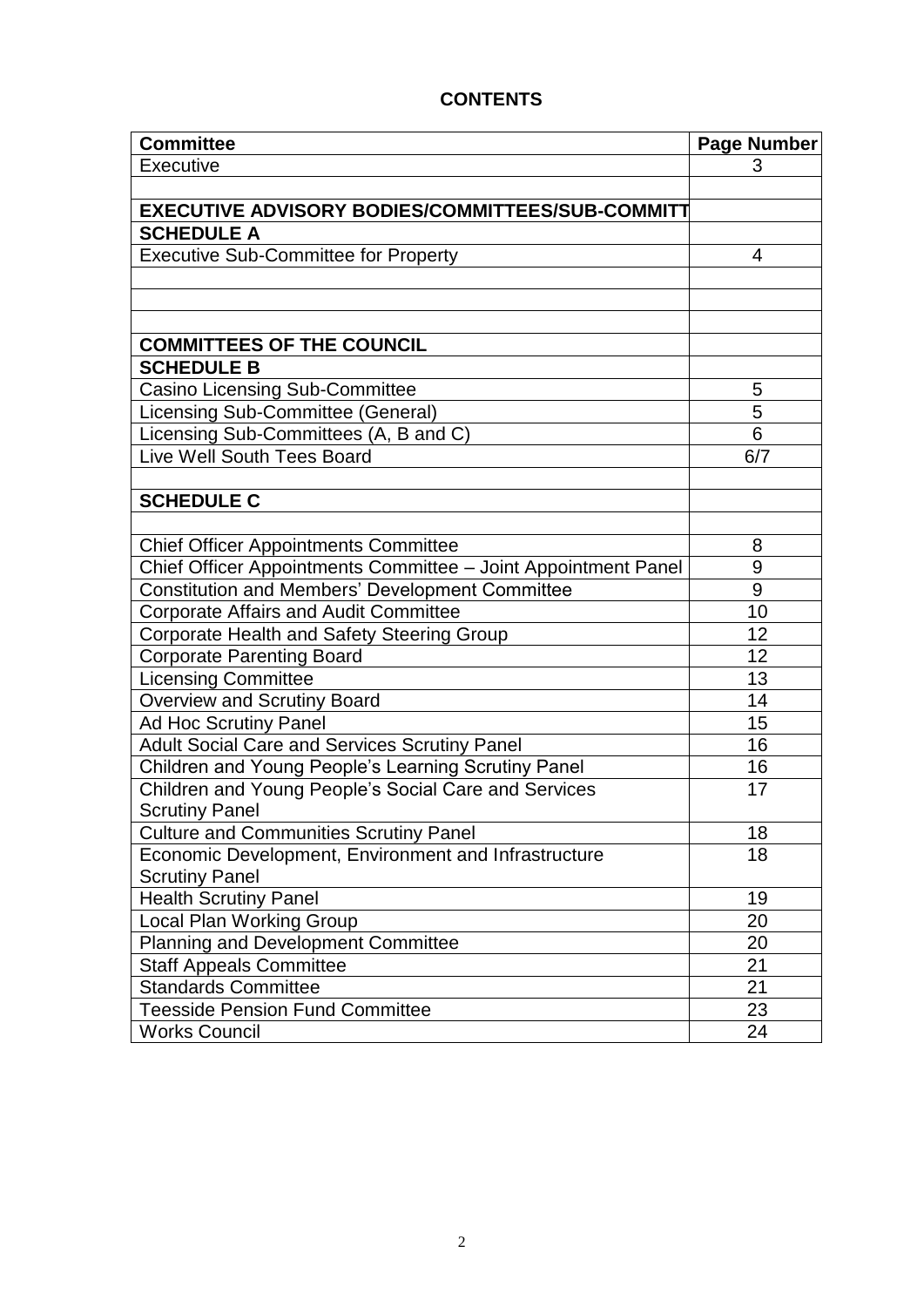# **Committee Page Number Page Number** Executive 3 **EXECUTIVE ADVISORY BODIES/COMMITTEES/SUB-COMMITT SCHEDULE A** Executive Sub-Committee for Property **Executive Sub-Committee for Property COMMITTEES OF THE COUNCIL SCHEDULE B** Casino Licensing Sub-Committee **5** and 5 Licensing Sub-Committee (General) 5 Licensing Sub-Committees (A, B and C) 6 Live Well South Tees Board 6/7 **SCHEDULE C** Chief Officer Appointments Committee **8** Chief Officer Appointments Committee – Joint Appointment Panel 9<br>Constitution and Members' Development Committee 9 Constitution and Members' Development Committee 9 Corporate Affairs and Audit Committee 10 Corporate Health and Safety Steering Group 12 Corporate Parenting Board 12 Licensing Committee 13 Overview and Scrutiny Board<br>
Ad Hoc Scrutiny Panel 15 Ad Hoc Scrutiny Panel Adult Social Care and Services Scrutiny Panel 16 16 Children and Young People's Learning Scrutiny Panel 2012 16 Children and Young People's Social Care and Services Scrutiny Panel 17 Culture and Communities Scrutiny Panel 18 Economic Development, Environment and Infrastructure Scrutiny Panel 18 Health Scrutiny Panel 2008 19 Local Plan Working Group 20 and 20 and 20 and 20 and 20 and 20 and 20 and 20 and 20 and 20 and 20 and 20 and 20 Planning and Development Committee 20 Staff Appeals Committee 21 Standards Committee 21 Teesside Pension Fund Committee **23** Works Council 24

#### **CONTENTS**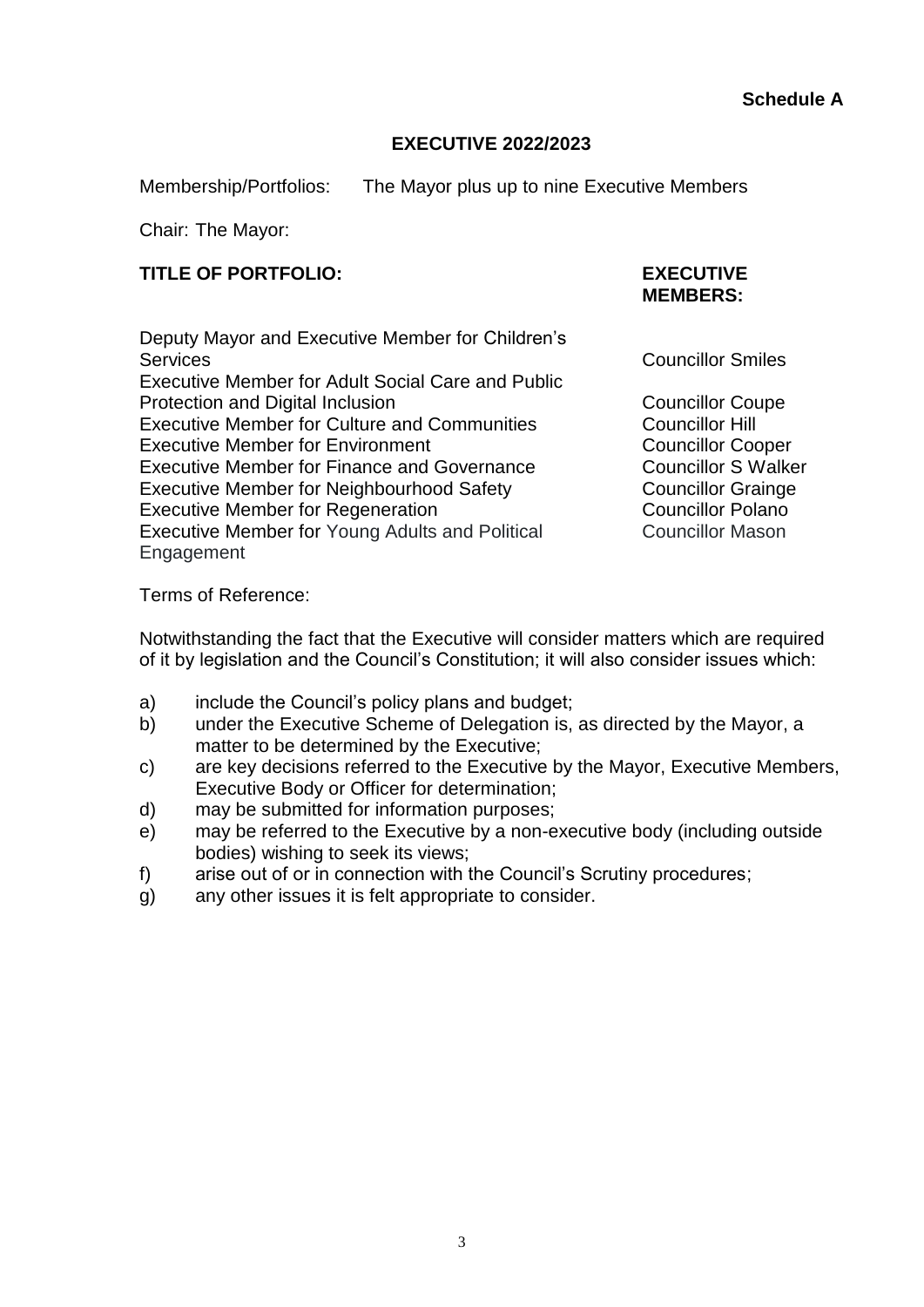## **EXECUTIVE 2022/2023**

Membership/Portfolios: The Mayor plus up to nine Executive Members

Chair: The Mayor:

## **TITLE OF PORTFOLIO: EXECUTIVE**

Deputy Mayor and Executive Member for Children's Services **Councillor Smiles** Executive Member for Adult Social Care and Public Protection and Digital Inclusion Councillor Coupe Executive Member for Culture and Communities Councillor Hill Executive Member for Environment **Councillor Cooper** Councillor Cooper Executive Member for Finance and Governance Councillor S Walker Executive Member for Neighbourhood Safety Councillor Grainge Executive Member for Regeneration<br>
Executive Member for Young Adults and Political Councillor Mason Executive Member for Young Adults and Political Engagement

**MEMBERS:**

Terms of Reference:

Notwithstanding the fact that the Executive will consider matters which are required of it by legislation and the Council's Constitution; it will also consider issues which:

- a) include the Council's policy plans and budget;
- b) under the Executive Scheme of Delegation is, as directed by the Mayor, a matter to be determined by the Executive;
- c) are key decisions referred to the Executive by the Mayor, Executive Members, Executive Body or Officer for determination;
- d) may be submitted for information purposes;
- e) may be referred to the Executive by a non-executive body (including outside bodies) wishing to seek its views;
- f) arise out of or in connection with the Council's Scrutiny procedures;
- g) any other issues it is felt appropriate to consider.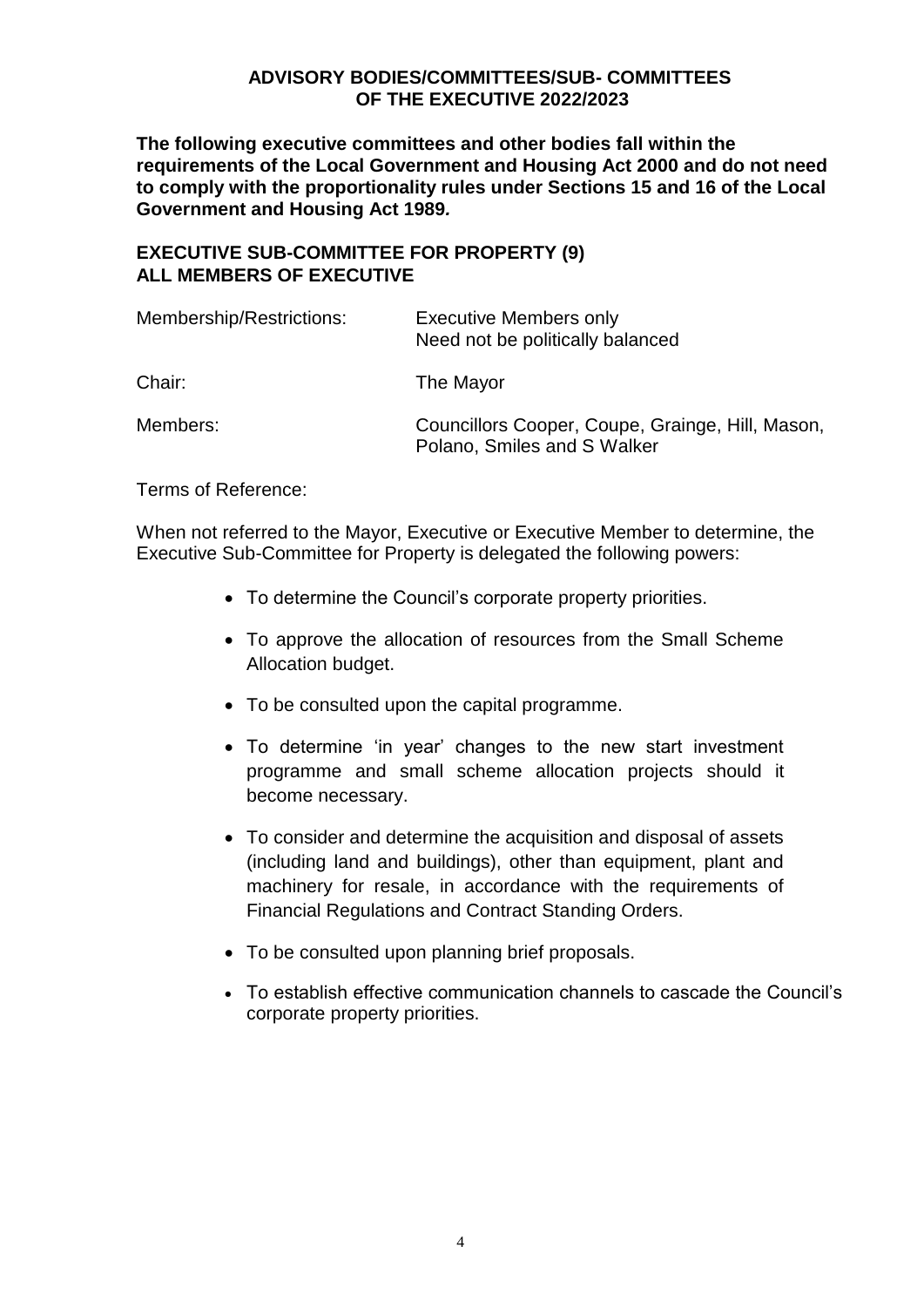#### **ADVISORY BODIES/COMMITTEES/SUB- COMMITTEES OF THE EXECUTIVE 2022/2023**

**The following executive committees and other bodies fall within the requirements of the Local Government and Housing Act 2000 and do not need to comply with the proportionality rules under Sections 15 and 16 of the Local Government and Housing Act 1989***.* 

### **EXECUTIVE SUB-COMMITTEE FOR PROPERTY (9) ALL MEMBERS OF EXECUTIVE**

| Membership/Restrictions: | <b>Executive Members only</b><br>Need not be politically balanced               |
|--------------------------|---------------------------------------------------------------------------------|
| Chair:                   | The Mayor                                                                       |
| Members:                 | Councillors Cooper, Coupe, Grainge, Hill, Mason,<br>Polano, Smiles and S Walker |

Terms of Reference:

When not referred to the Mayor, Executive or Executive Member to determine, the Executive Sub-Committee for Property is delegated the following powers:

- To determine the Council's corporate property priorities.
- To approve the allocation of resources from the Small Scheme Allocation budget.
- To be consulted upon the capital programme.
- To determine 'in year' changes to the new start investment programme and small scheme allocation projects should it become necessary.
- To consider and determine the acquisition and disposal of assets (including land and buildings), other than equipment, plant and machinery for resale, in accordance with the requirements of Financial Regulations and Contract Standing Orders.
- To be consulted upon planning brief proposals.
- To establish effective communication channels to cascade the Council's corporate property priorities.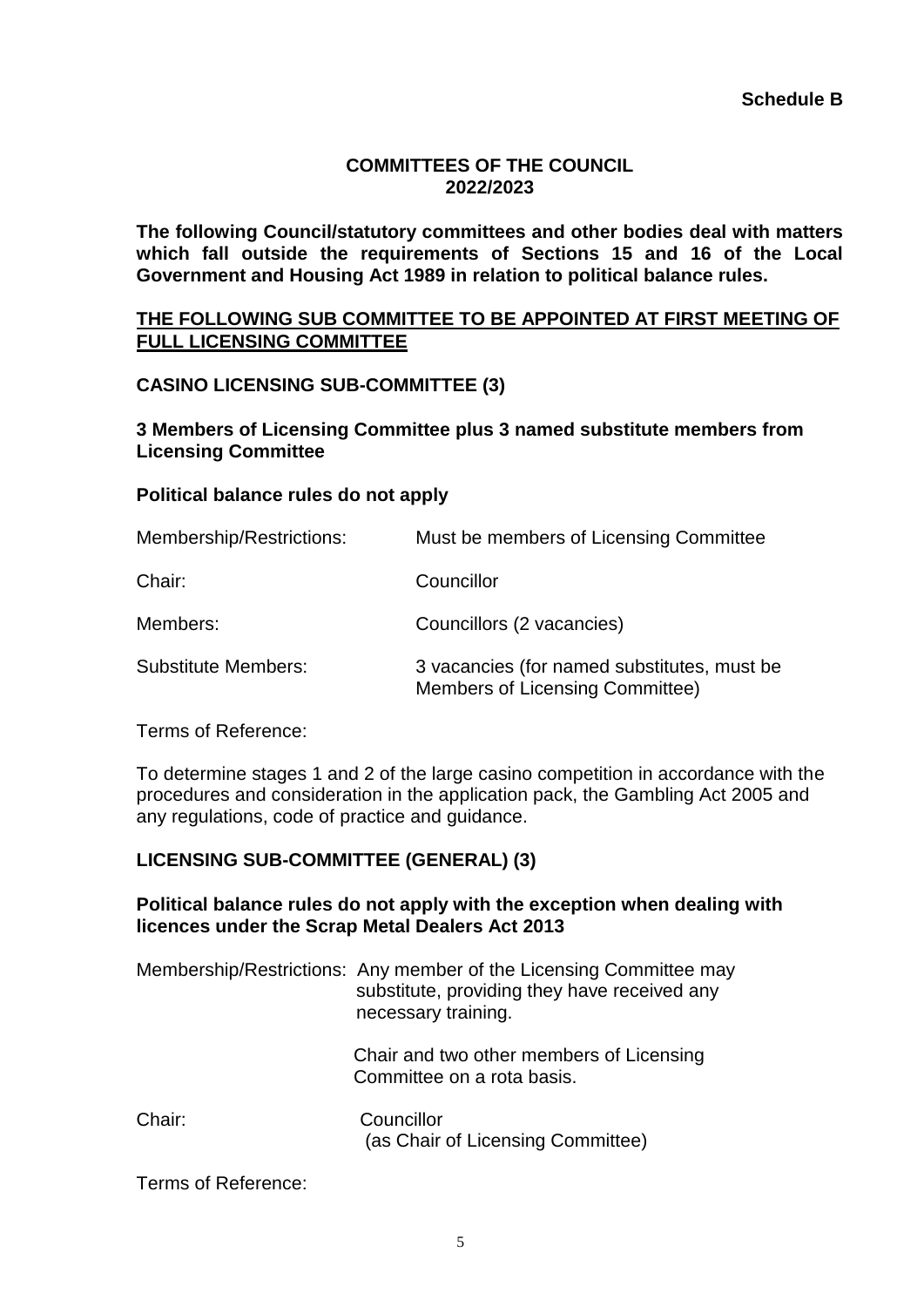### **COMMITTEES OF THE COUNCIL 2022/2023**

**The following Council/statutory committees and other bodies deal with matters which fall outside the requirements of Sections 15 and 16 of the Local Government and Housing Act 1989 in relation to political balance rules.**

#### **THE FOLLOWING SUB COMMITTEE TO BE APPOINTED AT FIRST MEETING OF FULL LICENSING COMMITTEE**

### **CASINO LICENSING SUB-COMMITTEE (3)**

**3 Members of Licensing Committee plus 3 named substitute members from Licensing Committee**

#### **Political balance rules do not apply**

| Membership/Restrictions:   | Must be members of Licensing Committee                                                |
|----------------------------|---------------------------------------------------------------------------------------|
| Chair:                     | Councillor                                                                            |
| Members:                   | Councillors (2 vacancies)                                                             |
| <b>Substitute Members:</b> | 3 vacancies (for named substitutes, must be<br><b>Members of Licensing Committee)</b> |

Terms of Reference:

To determine stages 1 and 2 of the large casino competition in accordance with the procedures and consideration in the application pack, the Gambling Act 2005 and any regulations, code of practice and guidance.

## **LICENSING SUB-COMMITTEE (GENERAL) (3)**

#### **Political balance rules do not apply with the exception when dealing with licences under the Scrap Metal Dealers Act 2013**

|        | Membership/Restrictions: Any member of the Licensing Committee may<br>substitute, providing they have received any<br>necessary training. |
|--------|-------------------------------------------------------------------------------------------------------------------------------------------|
|        | Chair and two other members of Licensing<br>Committee on a rota basis.                                                                    |
| Chair: | Councillor<br>(as Chair of Licensing Committee)                                                                                           |

Terms of Reference: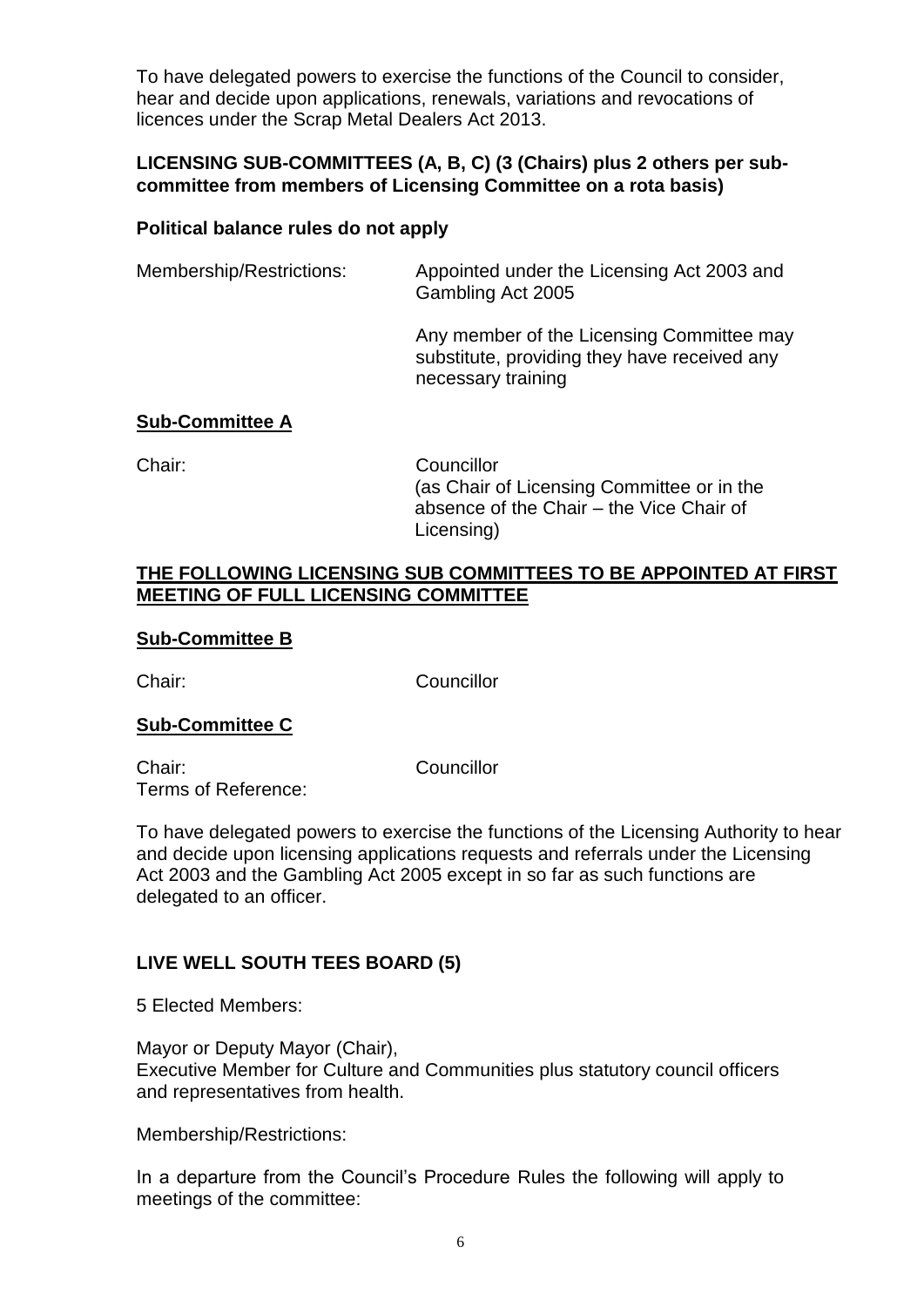To have delegated powers to exercise the functions of the Council to consider, hear and decide upon applications, renewals, variations and revocations of licences under the Scrap Metal Dealers Act 2013.

#### **LICENSING SUB-COMMITTEES (A, B, C) (3 (Chairs) plus 2 others per subcommittee from members of Licensing Committee on a rota basis)**

#### **Political balance rules do not apply**

Membership/Restrictions: Appointed under the Licensing Act 2003 and Gambling Act 2005

> Any member of the Licensing Committee may substitute, providing they have received any necessary training

#### **Sub-Committee A**

Chair: Councillor

(as Chair of Licensing Committee or in the absence of the Chair – the Vice Chair of Licensing)

#### **THE FOLLOWING LICENSING SUB COMMITTEES TO BE APPOINTED AT FIRST MEETING OF FULL LICENSING COMMITTEE**

#### **Sub-Committee B**

Chair: Councillor

#### **Sub-Committee C**

Chair: Councillor Terms of Reference:

To have delegated powers to exercise the functions of the Licensing Authority to hear and decide upon licensing applications requests and referrals under the Licensing Act 2003 and the Gambling Act 2005 except in so far as such functions are delegated to an officer.

## **LIVE WELL SOUTH TEES BOARD (5)**

5 Elected Members:

Mayor or Deputy Mayor (Chair), Executive Member for Culture and Communities plus statutory council officers and representatives from health.

Membership/Restrictions:

In a departure from the Council's Procedure Rules the following will apply to meetings of the committee: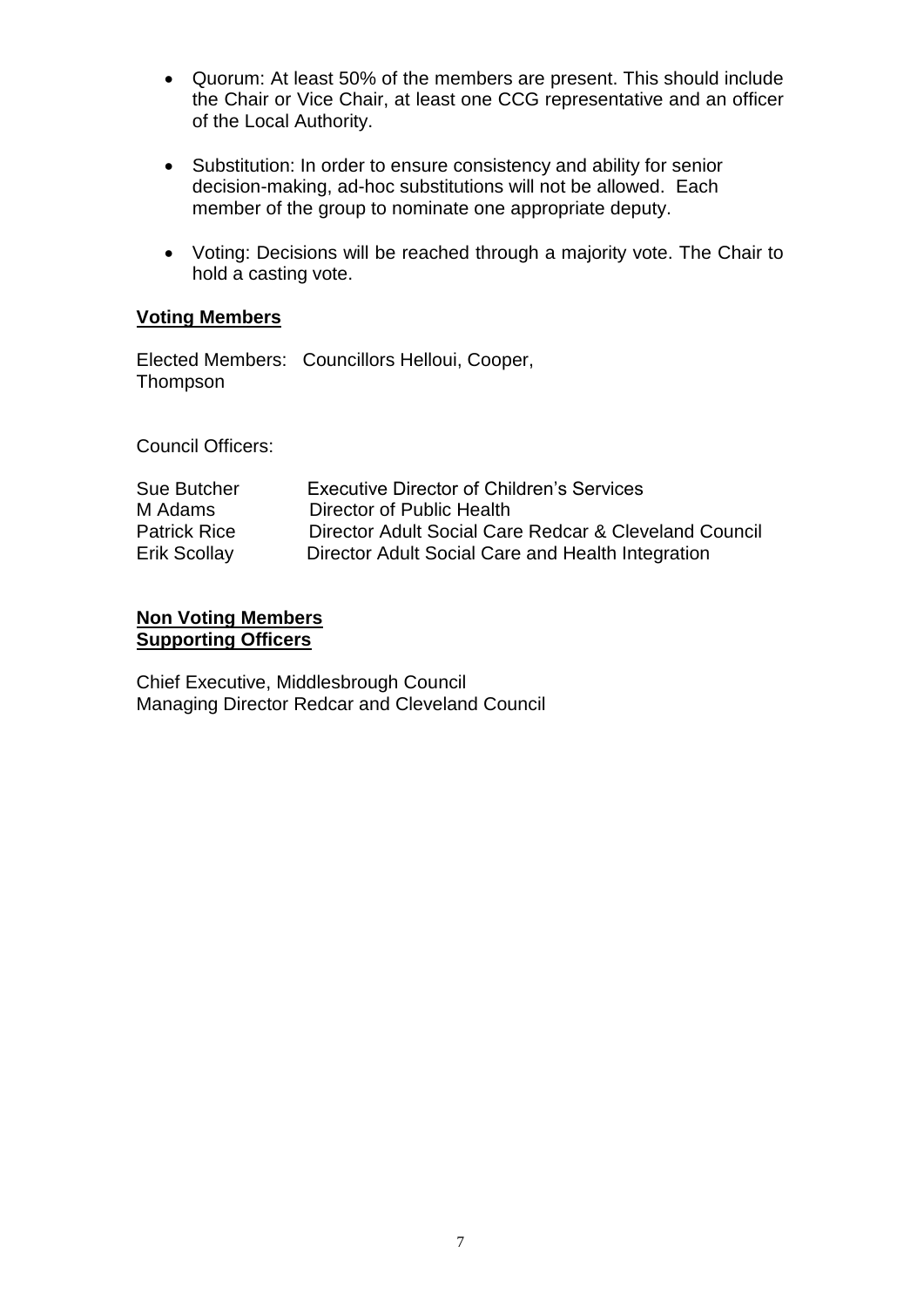- Quorum: At least 50% of the members are present. This should include the Chair or Vice Chair, at least one CCG representative and an officer of the Local Authority.
- Substitution: In order to ensure consistency and ability for senior decision-making, ad-hoc substitutions will not be allowed. Each member of the group to nominate one appropriate deputy.
- Voting: Decisions will be reached through a majority vote. The Chair to hold a casting vote.

#### **Voting Members**

Elected Members: Councillors Helloui, Cooper, Thompson

Council Officers:

| <b>Sue Butcher</b>  | <b>Executive Director of Children's Services</b>      |
|---------------------|-------------------------------------------------------|
| M Adams             | Director of Public Health                             |
| <b>Patrick Rice</b> | Director Adult Social Care Redcar & Cleveland Council |
| Erik Scollay        | Director Adult Social Care and Health Integration     |

#### **Non Voting Members Supporting Officers**

Chief Executive, Middlesbrough Council Managing Director Redcar and Cleveland Council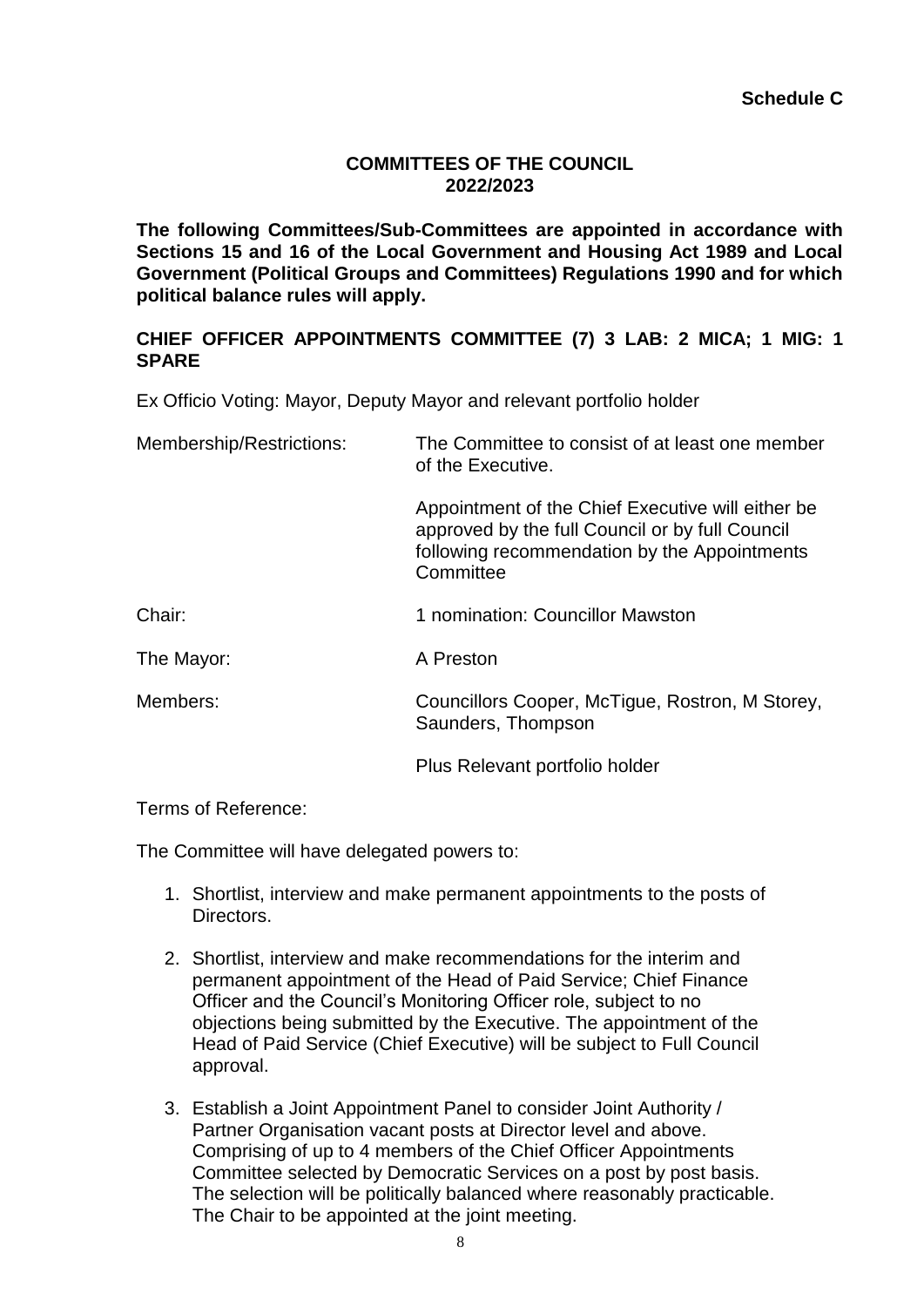### **COMMITTEES OF THE COUNCIL 2022/2023**

**The following Committees/Sub-Committees are appointed in accordance with Sections 15 and 16 of the Local Government and Housing Act 1989 and Local Government (Political Groups and Committees) Regulations 1990 and for which political balance rules will apply.**

### **CHIEF OFFICER APPOINTMENTS COMMITTEE (7) 3 LAB: 2 MICA; 1 MIG: 1 SPARE**

Ex Officio Voting: Mayor, Deputy Mayor and relevant portfolio holder

| Membership/Restrictions: | The Committee to consist of at least one member<br>of the Executive.                                                                                              |
|--------------------------|-------------------------------------------------------------------------------------------------------------------------------------------------------------------|
|                          | Appointment of the Chief Executive will either be<br>approved by the full Council or by full Council<br>following recommendation by the Appointments<br>Committee |
| Chair:                   | 1 nomination: Councillor Mawston                                                                                                                                  |
| The Mayor:               | A Preston                                                                                                                                                         |
| Members:                 | Councillors Cooper, McTigue, Rostron, M Storey,<br>Saunders, Thompson                                                                                             |
|                          | Plus Relevant portfolio holder                                                                                                                                    |

Terms of Reference:

The Committee will have delegated powers to:

- 1. Shortlist, interview and make permanent appointments to the posts of **Directors**
- 2. Shortlist, interview and make recommendations for the interim and permanent appointment of the Head of Paid Service; Chief Finance Officer and the Council's Monitoring Officer role, subject to no objections being submitted by the Executive. The appointment of the Head of Paid Service (Chief Executive) will be subject to Full Council approval.
- 3. Establish a Joint Appointment Panel to consider Joint Authority / Partner Organisation vacant posts at Director level and above. Comprising of up to 4 members of the Chief Officer Appointments Committee selected by Democratic Services on a post by post basis. The selection will be politically balanced where reasonably practicable. The Chair to be appointed at the joint meeting.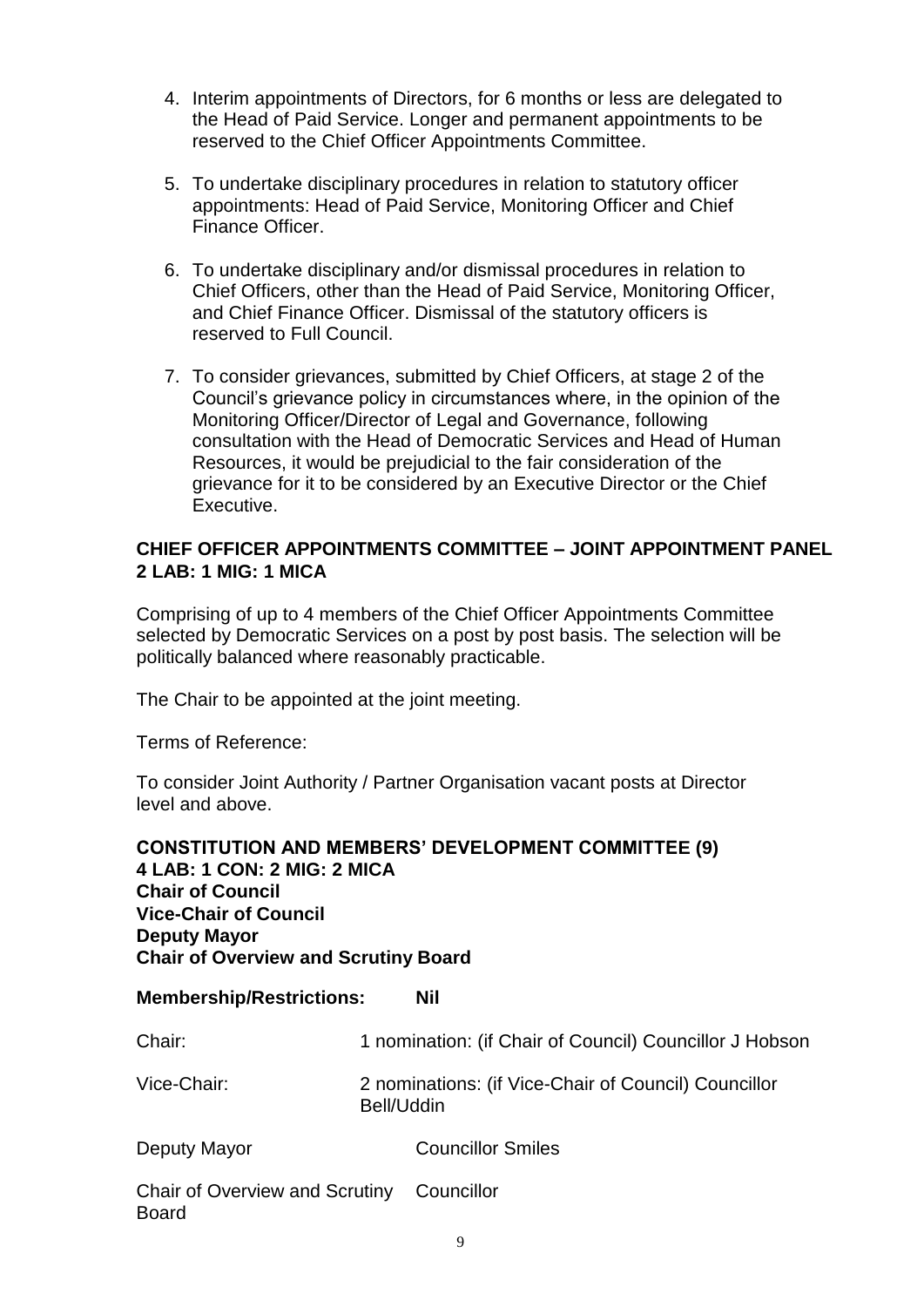- 4. Interim appointments of Directors, for 6 months or less are delegated to the Head of Paid Service. Longer and permanent appointments to be reserved to the Chief Officer Appointments Committee.
- 5. To undertake disciplinary procedures in relation to statutory officer appointments: Head of Paid Service, Monitoring Officer and Chief Finance Officer.
- 6. To undertake disciplinary and/or dismissal procedures in relation to Chief Officers, other than the Head of Paid Service, Monitoring Officer, and Chief Finance Officer. Dismissal of the statutory officers is reserved to Full Council.
- 7. To consider grievances, submitted by Chief Officers, at stage 2 of the Council's grievance policy in circumstances where, in the opinion of the Monitoring Officer/Director of Legal and Governance, following consultation with the Head of Democratic Services and Head of Human Resources, it would be prejudicial to the fair consideration of the grievance for it to be considered by an Executive Director or the Chief Executive.

### **CHIEF OFFICER APPOINTMENTS COMMITTEE – JOINT APPOINTMENT PANEL 2 LAB: 1 MIG: 1 MICA**

Comprising of up to 4 members of the Chief Officer Appointments Committee selected by Democratic Services on a post by post basis. The selection will be politically balanced where reasonably practicable.

The Chair to be appointed at the joint meeting.

Terms of Reference:

To consider Joint Authority / Partner Organisation vacant posts at Director level and above.

## **CONSTITUTION AND MEMBERS' DEVELOPMENT COMMITTEE (9) 4 LAB: 1 CON: 2 MIG: 2 MICA Chair of Council Vice-Chair of Council Deputy Mayor Chair of Overview and Scrutiny Board**

| <b>Membership/Restrictions:</b> | <b>Nil</b> |
|---------------------------------|------------|
|---------------------------------|------------|

| Chair:                                         | 1 nomination: (if Chair of Council) Councillor J Hobson            |  |
|------------------------------------------------|--------------------------------------------------------------------|--|
| Vice-Chair:                                    | 2 nominations: (if Vice-Chair of Council) Councillor<br>Bell/Uddin |  |
| Deputy Mayor                                   | <b>Councillor Smiles</b>                                           |  |
| Chair of Overview and Scrutiny<br><b>Board</b> | Councillor                                                         |  |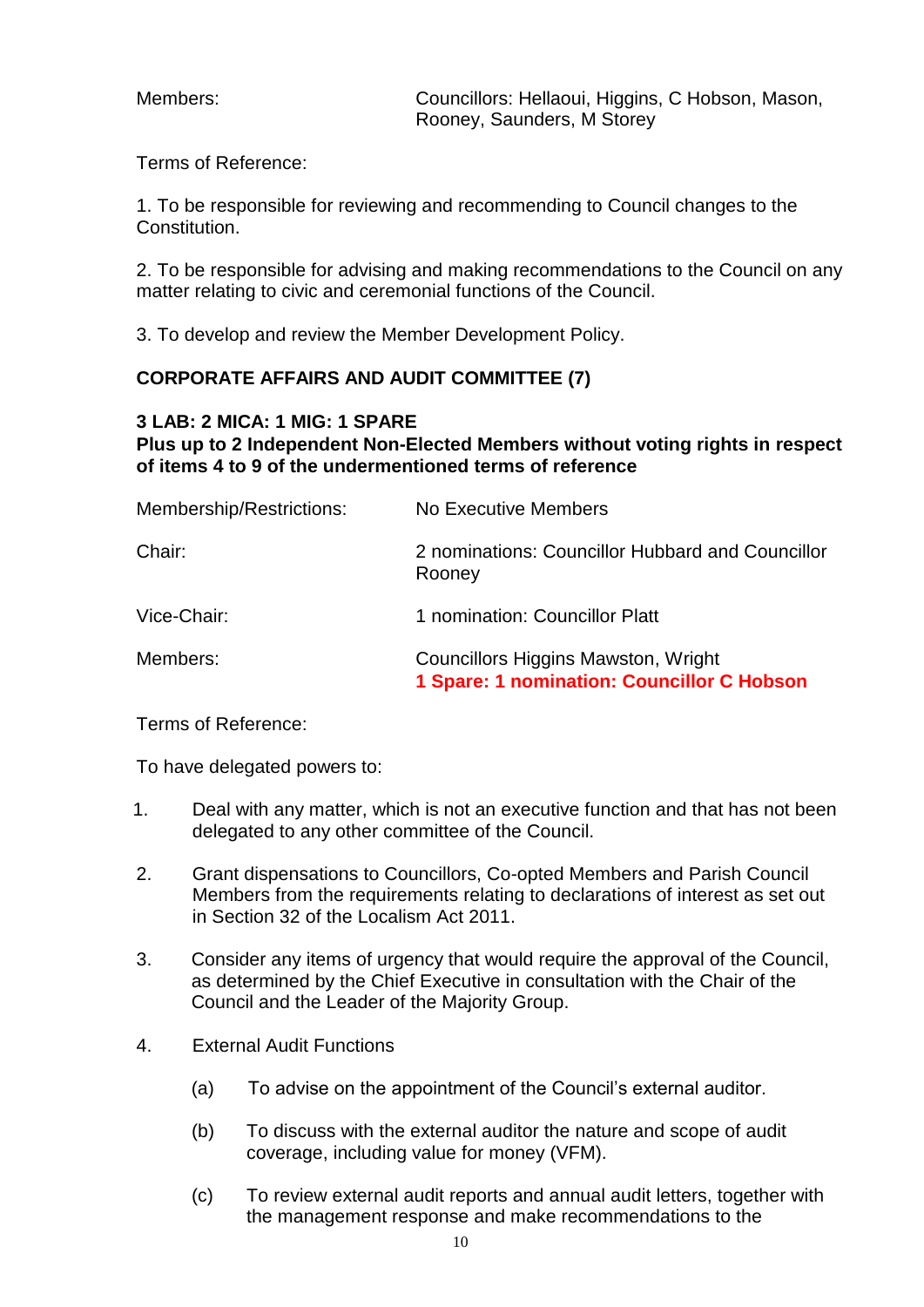Members: Councillors: Hellaoui, Higgins, C Hobson, Mason, Rooney, Saunders, M Storey

Terms of Reference:

1. To be responsible for reviewing and recommending to Council changes to the Constitution.

2. To be responsible for advising and making recommendations to the Council on any matter relating to civic and ceremonial functions of the Council.

3. To develop and review the Member Development Policy.

### **CORPORATE AFFAIRS AND AUDIT COMMITTEE (7)**

#### **3 LAB: 2 MICA: 1 MIG: 1 SPARE**

**Plus up to 2 Independent Non-Elected Members without voting rights in respect of items 4 to 9 of the undermentioned terms of reference**

| Membership/Restrictions: | No Executive Members                                                                     |
|--------------------------|------------------------------------------------------------------------------------------|
| Chair:                   | 2 nominations: Councillor Hubbard and Councillor<br>Rooney                               |
| Vice-Chair:              | 1 nomination: Councillor Platt                                                           |
| Members:                 | <b>Councillors Higgins Mawston, Wright</b><br>1 Spare: 1 nomination: Councillor C Hobson |

Terms of Reference:

To have delegated powers to:

- 1. Deal with any matter, which is not an executive function and that has not been delegated to any other committee of the Council.
- 2. Grant dispensations to Councillors, Co-opted Members and Parish Council Members from the requirements relating to declarations of interest as set out in Section 32 of the Localism Act 2011.
- 3. Consider any items of urgency that would require the approval of the Council, as determined by the Chief Executive in consultation with the Chair of the Council and the Leader of the Majority Group.
- 4. External Audit Functions
	- (a) To advise on the appointment of the Council's external auditor.
	- (b) To discuss with the external auditor the nature and scope of audit coverage, including value for money (VFM).
	- (c) To review external audit reports and annual audit letters, together with the management response and make recommendations to the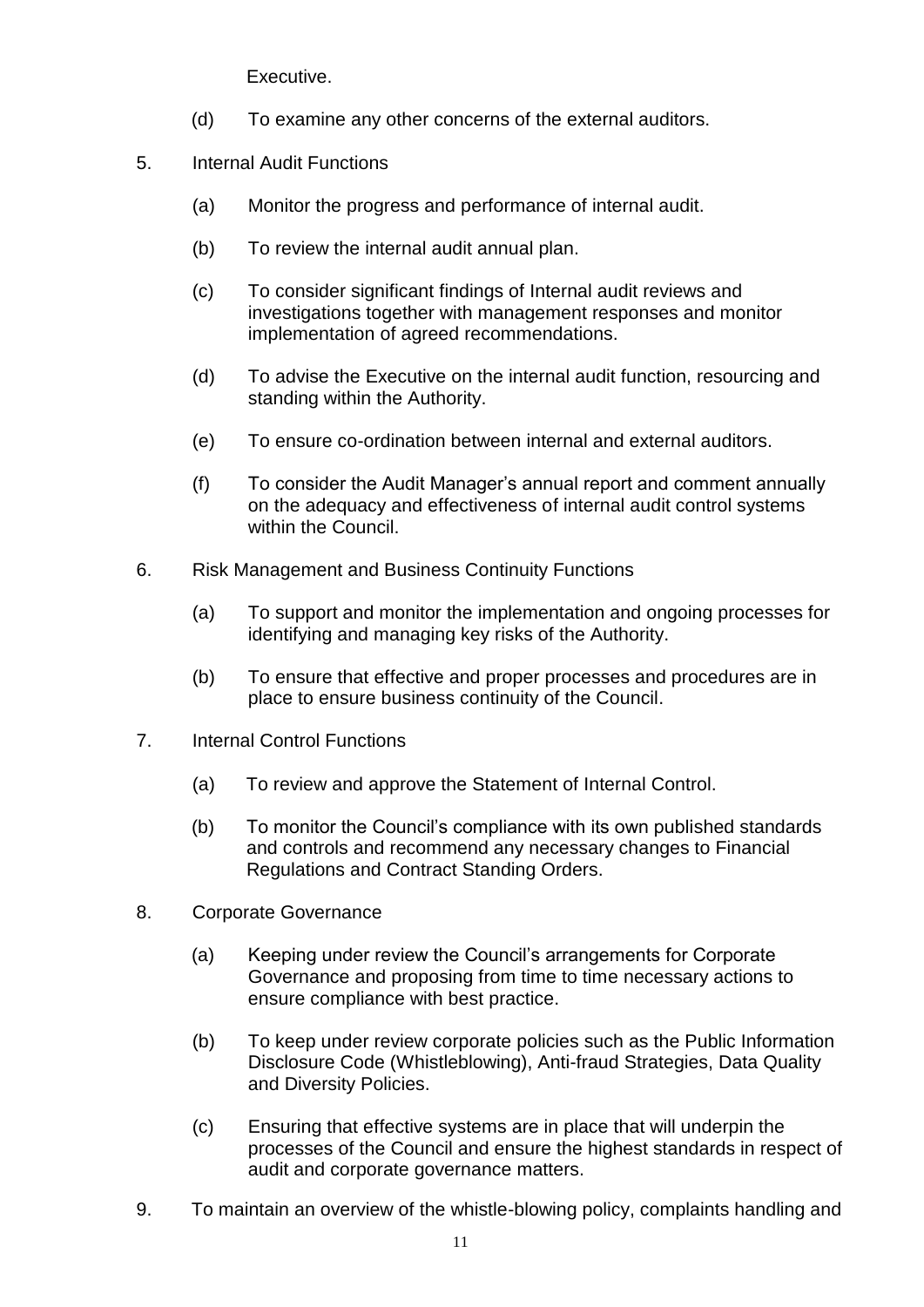Executive.

- (d) To examine any other concerns of the external auditors.
- 5. Internal Audit Functions
	- (a) Monitor the progress and performance of internal audit.
	- (b) To review the internal audit annual plan.
	- (c) To consider significant findings of Internal audit reviews and investigations together with management responses and monitor implementation of agreed recommendations.
	- (d) To advise the Executive on the internal audit function, resourcing and standing within the Authority.
	- (e) To ensure co-ordination between internal and external auditors.
	- (f) To consider the Audit Manager's annual report and comment annually on the adequacy and effectiveness of internal audit control systems within the Council.
- 6. Risk Management and Business Continuity Functions
	- (a) To support and monitor the implementation and ongoing processes for identifying and managing key risks of the Authority.
	- (b) To ensure that effective and proper processes and procedures are in place to ensure business continuity of the Council.
- 7. Internal Control Functions
	- (a) To review and approve the Statement of Internal Control.
	- (b) To monitor the Council's compliance with its own published standards and controls and recommend any necessary changes to Financial Regulations and Contract Standing Orders.
- 8. Corporate Governance
	- (a) Keeping under review the Council's arrangements for Corporate Governance and proposing from time to time necessary actions to ensure compliance with best practice.
	- (b) To keep under review corporate policies such as the Public Information Disclosure Code (Whistleblowing), Anti-fraud Strategies, Data Quality and Diversity Policies.
	- (c) Ensuring that effective systems are in place that will underpin the processes of the Council and ensure the highest standards in respect of audit and corporate governance matters.
- 9. To maintain an overview of the whistle-blowing policy, complaints handling and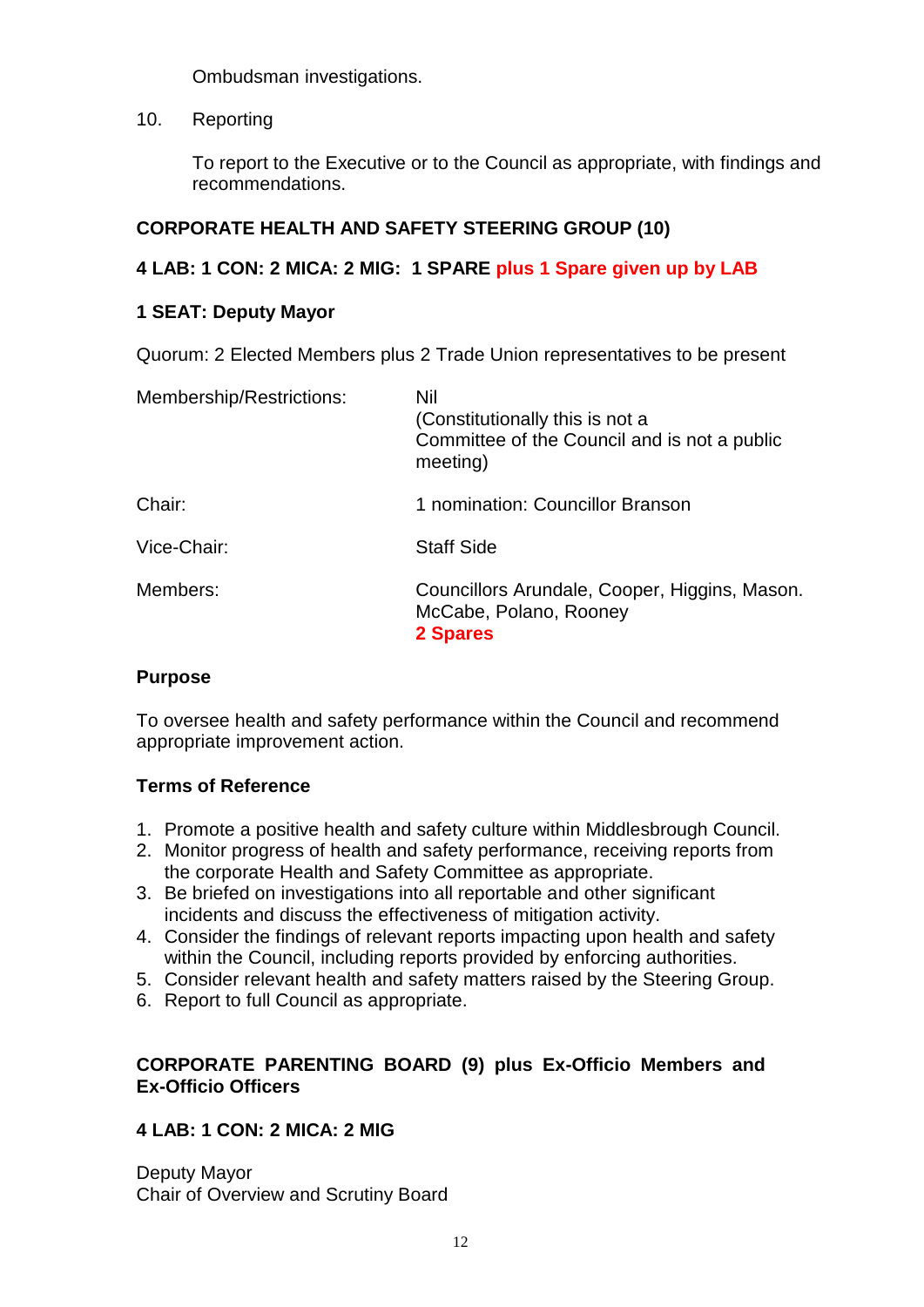Ombudsman investigations.

10. Reporting

To report to the Executive or to the Council as appropriate, with findings and recommendations.

## **CORPORATE HEALTH AND SAFETY STEERING GROUP (10)**

## **4 LAB: 1 CON: 2 MICA: 2 MIG: 1 SPARE plus 1 Spare given up by LAB**

## **1 SEAT: Deputy Mayor**

Quorum: 2 Elected Members plus 2 Trade Union representatives to be present

| Membership/Restrictions: | Nil<br>(Constitutionally this is not a<br>Committee of the Council and is not a public<br>meeting) |
|--------------------------|----------------------------------------------------------------------------------------------------|
| Chair:                   | 1 nomination: Councillor Branson                                                                   |
| Vice-Chair:              | <b>Staff Side</b>                                                                                  |
| Members:                 | Councillors Arundale, Cooper, Higgins, Mason.<br>McCabe, Polano, Rooney<br>2 Spares                |

#### **Purpose**

To oversee health and safety performance within the Council and recommend appropriate improvement action.

## **Terms of Reference**

- 1. Promote a positive health and safety culture within Middlesbrough Council.
- 2. Monitor progress of health and safety performance, receiving reports from the corporate Health and Safety Committee as appropriate.
- 3. Be briefed on investigations into all reportable and other significant incidents and discuss the effectiveness of mitigation activity.
- 4. Consider the findings of relevant reports impacting upon health and safety within the Council, including reports provided by enforcing authorities.
- 5. Consider relevant health and safety matters raised by the Steering Group.
- 6. Report to full Council as appropriate.

### **CORPORATE PARENTING BOARD (9) plus Ex-Officio Members and Ex-Officio Officers**

## **4 LAB: 1 CON: 2 MICA: 2 MIG**

Deputy Mayor Chair of Overview and Scrutiny Board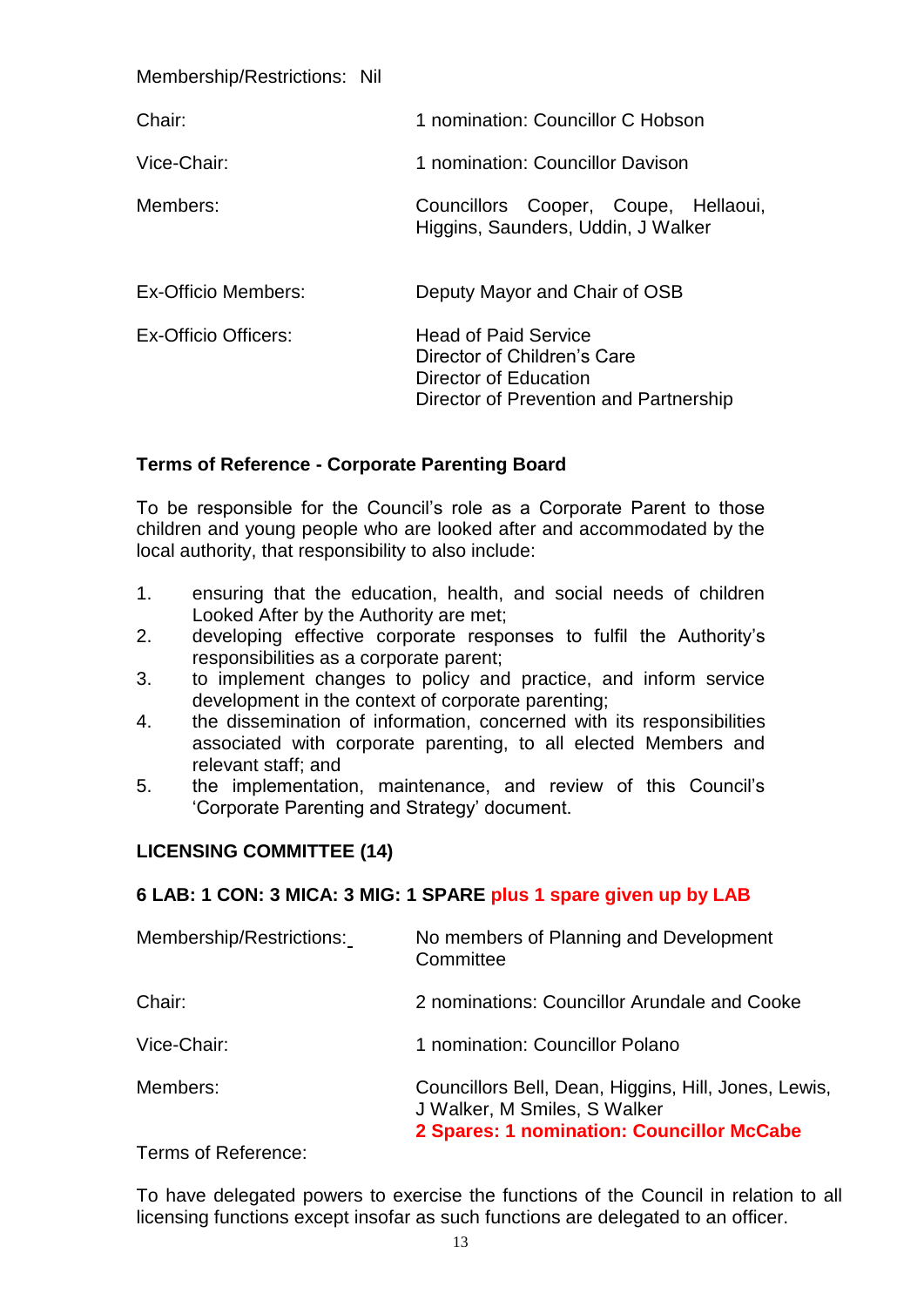Membership/Restrictions: Nil

| Chair:               | 1 nomination: Councillor C Hobson                                                                                             |
|----------------------|-------------------------------------------------------------------------------------------------------------------------------|
| Vice-Chair:          | 1 nomination: Councillor Davison                                                                                              |
| Members:             | Councillors Cooper, Coupe, Hellaoui,<br>Higgins, Saunders, Uddin, J Walker                                                    |
| Ex-Officio Members:  | Deputy Mayor and Chair of OSB                                                                                                 |
| Ex-Officio Officers: | <b>Head of Paid Service</b><br>Director of Children's Care<br>Director of Education<br>Director of Prevention and Partnership |

#### **Terms of Reference - Corporate Parenting Board**

To be responsible for the Council's role as a Corporate Parent to those children and young people who are looked after and accommodated by the local authority, that responsibility to also include:

- 1. ensuring that the education, health, and social needs of children Looked After by the Authority are met;
- 2. developing effective corporate responses to fulfil the Authority's responsibilities as a corporate parent;
- 3. to implement changes to policy and practice, and inform service development in the context of corporate parenting;
- 4. the dissemination of information, concerned with its responsibilities associated with corporate parenting, to all elected Members and relevant staff; and
- 5. the implementation, maintenance, and review of this Council's 'Corporate Parenting and Strategy' document.

#### **LICENSING COMMITTEE (14)**

## **6 LAB: 1 CON: 3 MICA: 3 MIG: 1 SPARE plus 1 spare given up by LAB**

| Membership/Restrictions: | No members of Planning and Development<br>Committee                                                                               |
|--------------------------|-----------------------------------------------------------------------------------------------------------------------------------|
| Chair:                   | 2 nominations: Councillor Arundale and Cooke                                                                                      |
| Vice-Chair:              | 1 nomination: Councillor Polano                                                                                                   |
| Members:                 | Councillors Bell, Dean, Higgins, Hill, Jones, Lewis,<br>J Walker, M Smiles, S Walker<br>2 Spares: 1 nomination: Councillor McCabe |

Terms of Reference:

To have delegated powers to exercise the functions of the Council in relation to all licensing functions except insofar as such functions are delegated to an officer.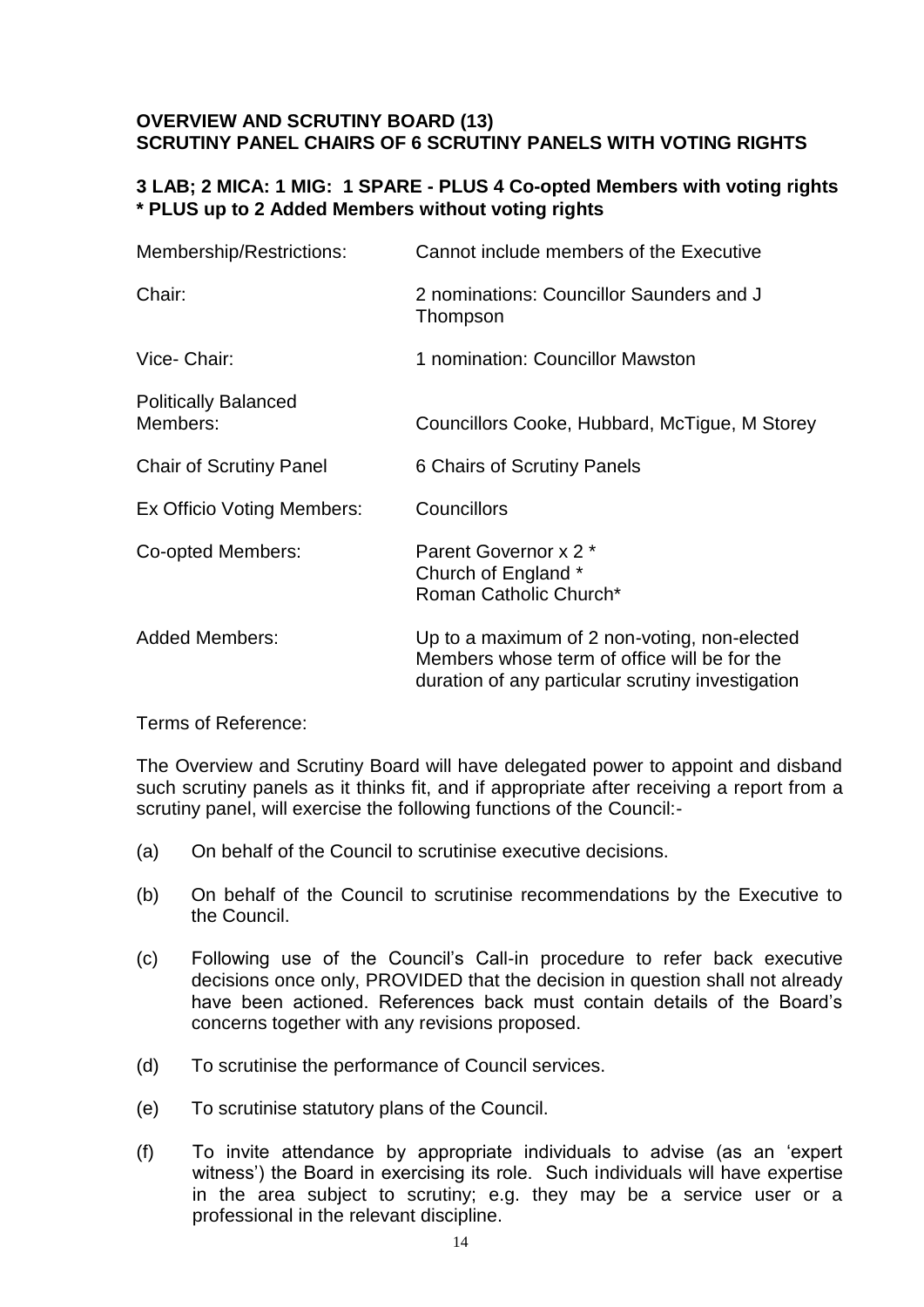### **OVERVIEW AND SCRUTINY BOARD (13) SCRUTINY PANEL CHAIRS OF 6 SCRUTINY PANELS WITH VOTING RIGHTS**

### **3 LAB; 2 MICA: 1 MIG: 1 SPARE - PLUS 4 Co-opted Members with voting rights \* PLUS up to 2 Added Members without voting rights**

| Membership/Restrictions:                | Cannot include members of the Executive                                                                                                           |
|-----------------------------------------|---------------------------------------------------------------------------------------------------------------------------------------------------|
| Chair:                                  | 2 nominations: Councillor Saunders and J<br>Thompson                                                                                              |
| Vice- Chair:                            | 1 nomination: Councillor Mawston                                                                                                                  |
| <b>Politically Balanced</b><br>Members: | Councillors Cooke, Hubbard, McTigue, M Storey                                                                                                     |
| <b>Chair of Scrutiny Panel</b>          | 6 Chairs of Scrutiny Panels                                                                                                                       |
| Ex Officio Voting Members:              | Councillors                                                                                                                                       |
| Co-opted Members:                       | Parent Governor x 2 *<br>Church of England *<br>Roman Catholic Church*                                                                            |
| <b>Added Members:</b>                   | Up to a maximum of 2 non-voting, non-elected<br>Members whose term of office will be for the<br>duration of any particular scrutiny investigation |

Terms of Reference:

The Overview and Scrutiny Board will have delegated power to appoint and disband such scrutiny panels as it thinks fit, and if appropriate after receiving a report from a scrutiny panel, will exercise the following functions of the Council:-

- (a) On behalf of the Council to scrutinise executive decisions.
- (b) On behalf of the Council to scrutinise recommendations by the Executive to the Council.
- (c) Following use of the Council's Call-in procedure to refer back executive decisions once only, PROVIDED that the decision in question shall not already have been actioned. References back must contain details of the Board's concerns together with any revisions proposed.
- (d) To scrutinise the performance of Council services.
- (e) To scrutinise statutory plans of the Council.
- (f) To invite attendance by appropriate individuals to advise (as an 'expert witness') the Board in exercising its role. Such individuals will have expertise in the area subject to scrutiny; e.g. they may be a service user or a professional in the relevant discipline.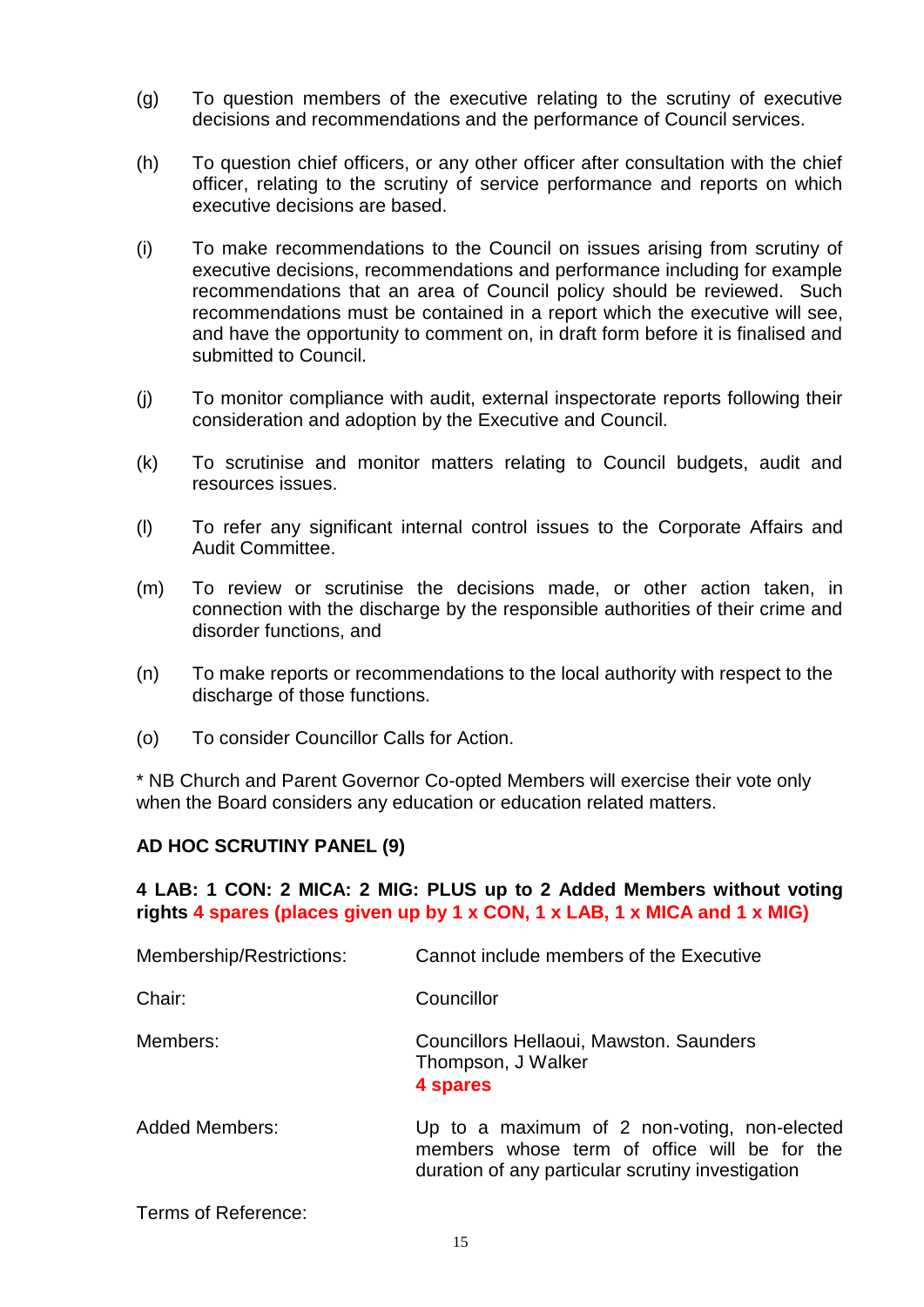- (g) To question members of the executive relating to the scrutiny of executive decisions and recommendations and the performance of Council services.
- (h) To question chief officers, or any other officer after consultation with the chief officer, relating to the scrutiny of service performance and reports on which executive decisions are based.
- (i) To make recommendations to the Council on issues arising from scrutiny of executive decisions, recommendations and performance including for example recommendations that an area of Council policy should be reviewed. Such recommendations must be contained in a report which the executive will see, and have the opportunity to comment on, in draft form before it is finalised and submitted to Council.
- (j) To monitor compliance with audit, external inspectorate reports following their consideration and adoption by the Executive and Council.
- (k) To scrutinise and monitor matters relating to Council budgets, audit and resources issues.
- (l) To refer any significant internal control issues to the Corporate Affairs and Audit Committee.
- (m) To review or scrutinise the decisions made, or other action taken, in connection with the discharge by the responsible authorities of their crime and disorder functions, and
- (n) To make reports or recommendations to the local authority with respect to the discharge of those functions.
- (o) To consider Councillor Calls for Action.

\* NB Church and Parent Governor Co-opted Members will exercise their vote only when the Board considers any education or education related matters.

#### **AD HOC SCRUTINY PANEL (9)**

#### **4 LAB: 1 CON: 2 MICA: 2 MIG: PLUS up to 2 Added Members without voting rights 4 spares (places given up by 1 x CON, 1 x LAB, 1 x MICA and 1 x MIG)**

| Membership/Restrictions: | Cannot include members of the Executive                                                                                                           |
|--------------------------|---------------------------------------------------------------------------------------------------------------------------------------------------|
| Chair:                   | Councillor                                                                                                                                        |
| Members:                 | Councillors Hellaoui, Mawston. Saunders<br>Thompson, J Walker<br>4 spares                                                                         |
| <b>Added Members:</b>    | Up to a maximum of 2 non-voting, non-elected<br>members whose term of office will be for the<br>duration of any particular scrutiny investigation |

Terms of Reference: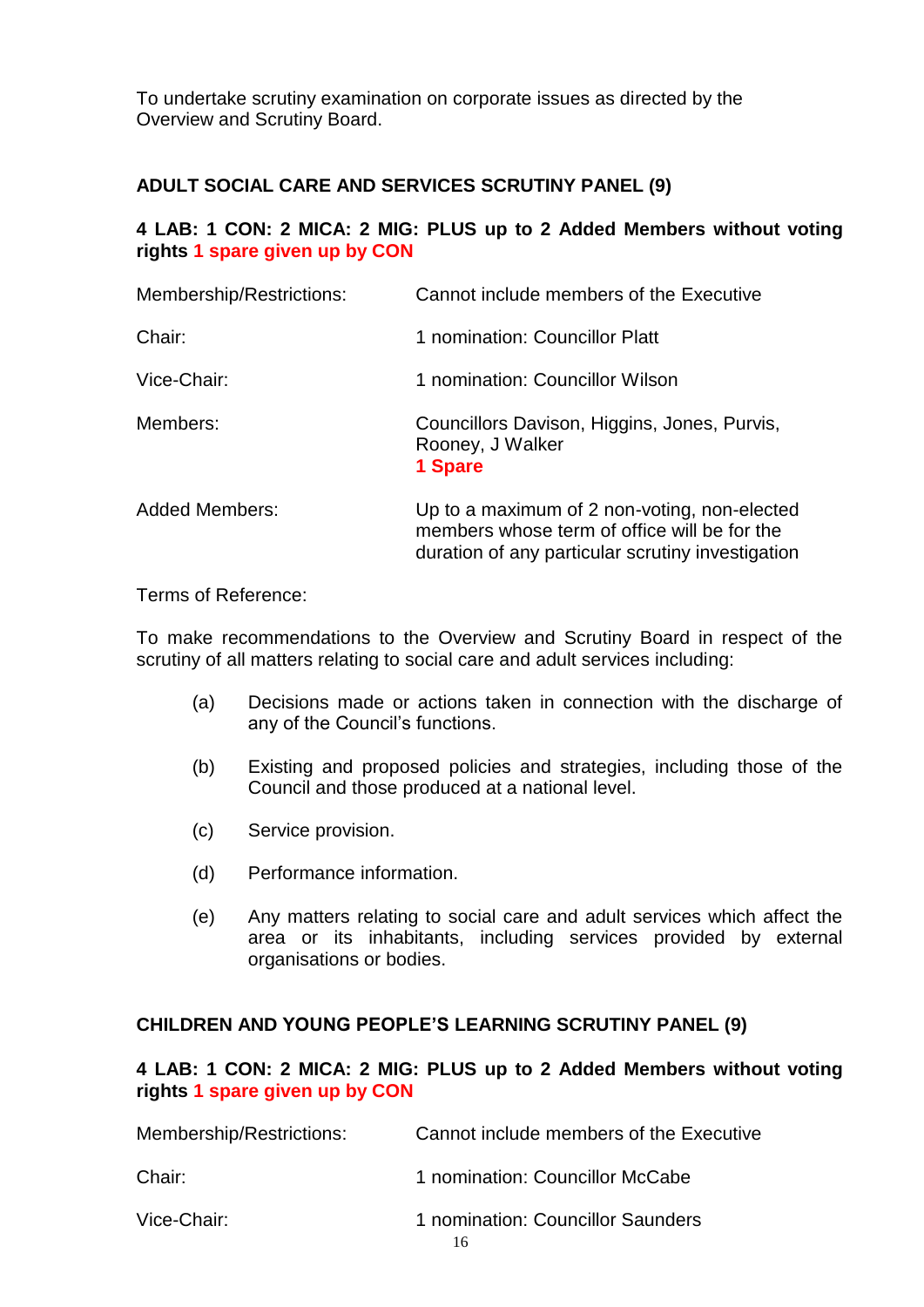To undertake scrutiny examination on corporate issues as directed by the Overview and Scrutiny Board.

## **ADULT SOCIAL CARE AND SERVICES SCRUTINY PANEL (9)**

### **4 LAB: 1 CON: 2 MICA: 2 MIG: PLUS up to 2 Added Members without voting rights 1 spare given up by CON**

| Membership/Restrictions: | Cannot include members of the Executive                                                                                                           |
|--------------------------|---------------------------------------------------------------------------------------------------------------------------------------------------|
| Chair:                   | 1 nomination: Councillor Platt                                                                                                                    |
| Vice-Chair:              | 1 nomination: Councillor Wilson                                                                                                                   |
| Members:                 | Councillors Davison, Higgins, Jones, Purvis,<br>Rooney, J Walker<br>1 Spare                                                                       |
| <b>Added Members:</b>    | Up to a maximum of 2 non-voting, non-elected<br>members whose term of office will be for the<br>duration of any particular scrutiny investigation |

Terms of Reference:

To make recommendations to the Overview and Scrutiny Board in respect of the scrutiny of all matters relating to social care and adult services including:

- (a) Decisions made or actions taken in connection with the discharge of any of the Council's functions.
- (b) Existing and proposed policies and strategies, including those of the Council and those produced at a national level.
- (c) Service provision.
- (d) Performance information.
- (e) Any matters relating to social care and adult services which affect the area or its inhabitants, including services provided by external organisations or bodies.

#### **CHILDREN AND YOUNG PEOPLE'S LEARNING SCRUTINY PANEL (9)**

#### **4 LAB: 1 CON: 2 MICA: 2 MIG: PLUS up to 2 Added Members without voting rights 1 spare given up by CON**

| Membership/Restrictions: | Cannot include members of the Executive |
|--------------------------|-----------------------------------------|
| Chair:                   | 1 nomination: Councillor McCabe         |
| Vice-Chair:              | 1 nomination: Councillor Saunders       |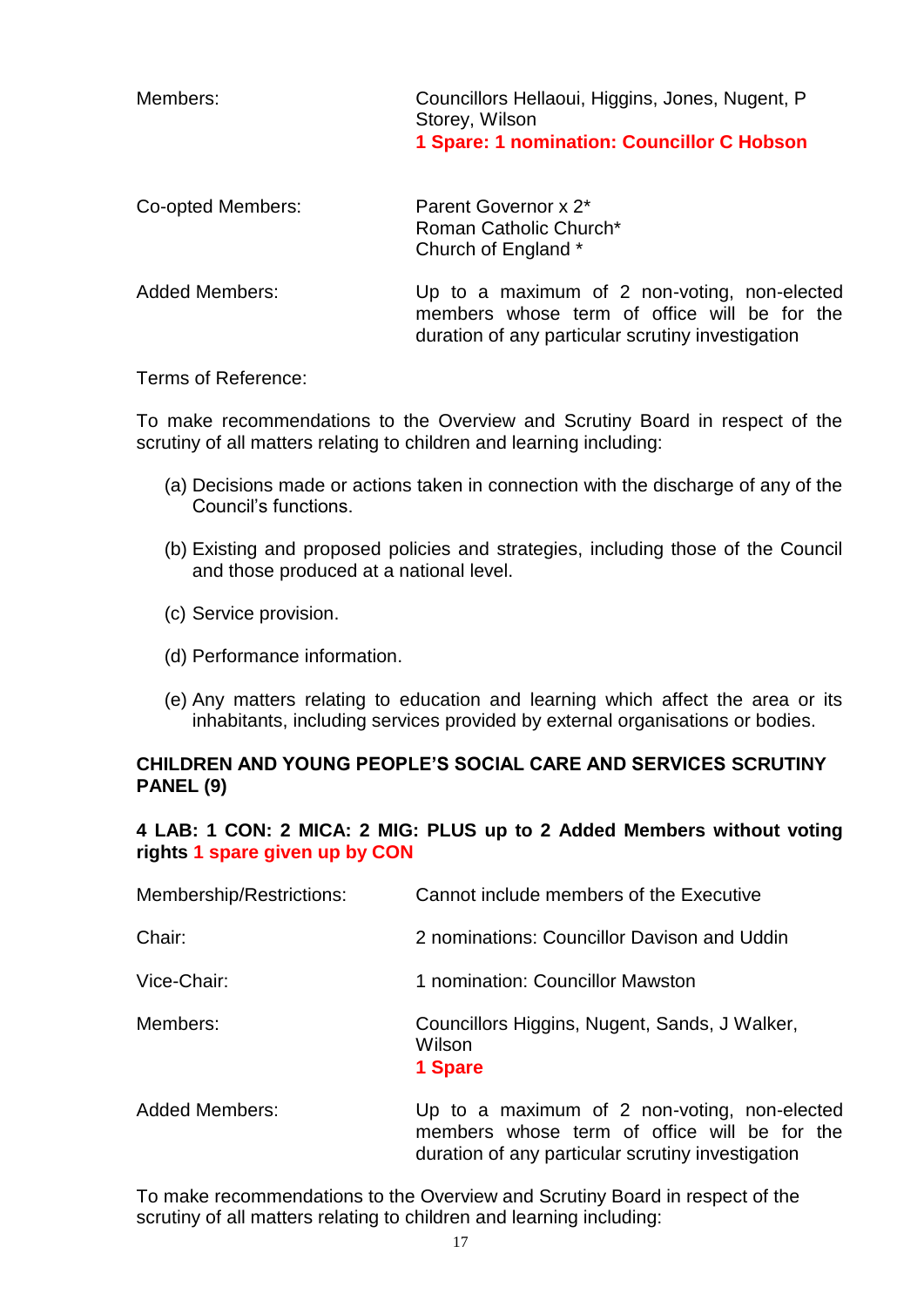| Members:              | Councillors Hellaoui, Higgins, Jones, Nugent, P<br>Storey, Wilson<br>1 Spare: 1 nomination: Councillor C Hobson |
|-----------------------|-----------------------------------------------------------------------------------------------------------------|
| Co-opted Members:     | Parent Governor x 2*<br>Roman Catholic Church*<br>Church of England *                                           |
| <b>Added Members:</b> | Up to a maximum of 2 non-voting, non-elected<br>members whose term of office will be for the                    |

Terms of Reference:

To make recommendations to the Overview and Scrutiny Board in respect of the scrutiny of all matters relating to children and learning including:

(a) Decisions made or actions taken in connection with the discharge of any of the Council's functions.

duration of any particular scrutiny investigation

- (b) Existing and proposed policies and strategies, including those of the Council and those produced at a national level.
- (c) Service provision.
- (d) Performance information.
- (e) Any matters relating to education and learning which affect the area or its inhabitants, including services provided by external organisations or bodies.

## **CHILDREN AND YOUNG PEOPLE'S SOCIAL CARE AND SERVICES SCRUTINY PANEL (9)**

## **4 LAB: 1 CON: 2 MICA: 2 MIG: PLUS up to 2 Added Members without voting rights 1 spare given up by CON**

| Membership/Restrictions: | Cannot include members of the Executive                            |
|--------------------------|--------------------------------------------------------------------|
| Chair:                   | 2 nominations: Councillor Davison and Uddin                        |
| Vice-Chair:              | 1 nomination: Councillor Mawston                                   |
| Members:                 | Councillors Higgins, Nugent, Sands, J Walker,<br>Wilson<br>1 Spare |
| Added Members:           | $\ln$ to a maximum of 2 non-voting non-electe                      |

Added Members: Up to a maximum of 2 non-voting, non-elected members whose term of office will be for the duration of any particular scrutiny investigation

To make recommendations to the Overview and Scrutiny Board in respect of the scrutiny of all matters relating to children and learning including: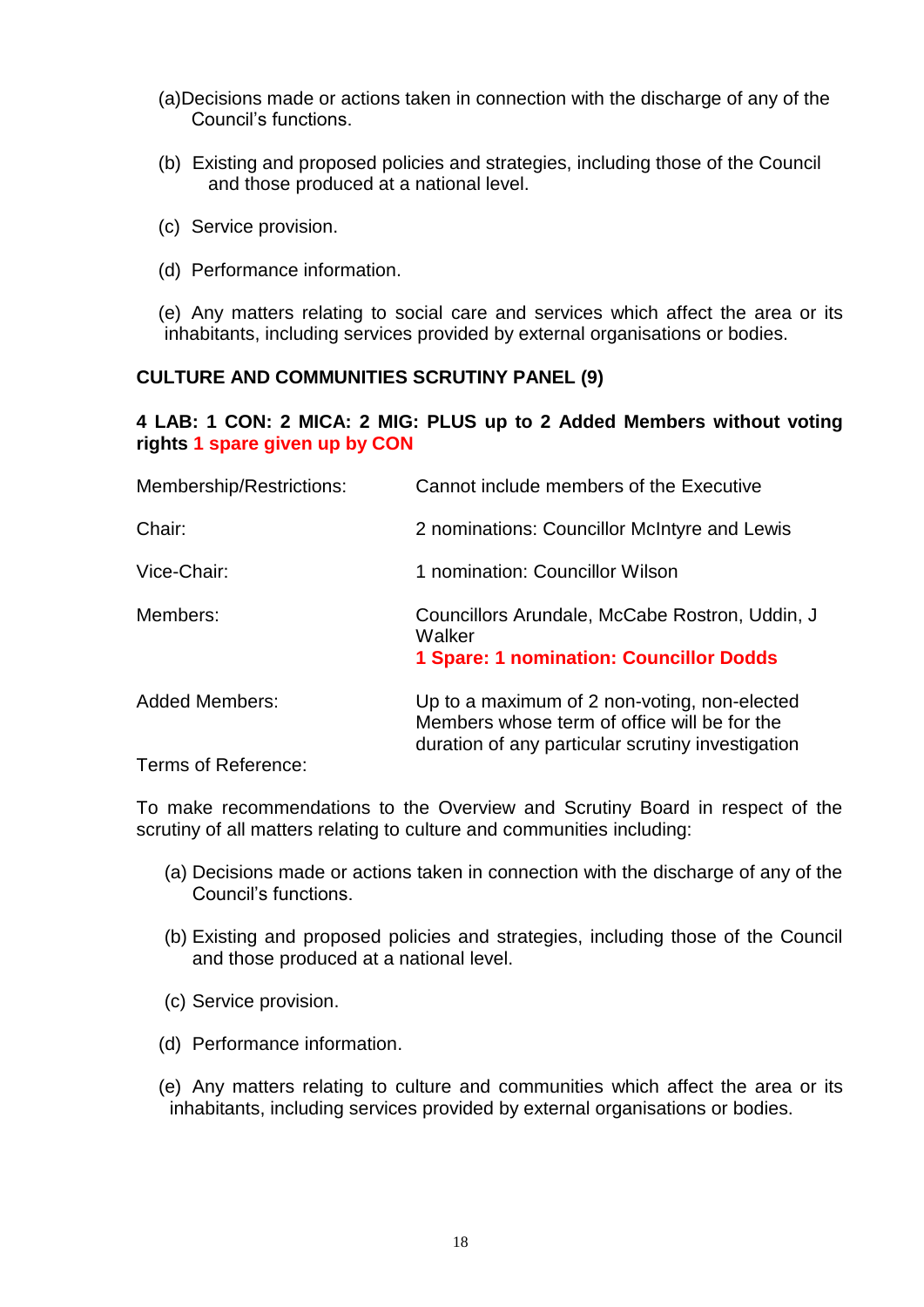- (a)Decisions made or actions taken in connection with the discharge of any of the Council's functions.
- (b) Existing and proposed policies and strategies, including those of the Council and those produced at a national level.
- (c) Service provision.
- (d) Performance information.
- (e) Any matters relating to social care and services which affect the area or its inhabitants, including services provided by external organisations or bodies.

#### **CULTURE AND COMMUNITIES SCRUTINY PANEL (9)**

### **4 LAB: 1 CON: 2 MICA: 2 MIG: PLUS up to 2 Added Members without voting rights 1 spare given up by CON**

| Membership/Restrictions: | Cannot include members of the Executive                                                                                                           |
|--------------------------|---------------------------------------------------------------------------------------------------------------------------------------------------|
| Chair:                   | 2 nominations: Councillor McIntyre and Lewis                                                                                                      |
| Vice-Chair:              | 1 nomination: Councillor Wilson                                                                                                                   |
| Members:                 | Councillors Arundale, McCabe Rostron, Uddin, J<br>Walker<br><b>1 Spare: 1 nomination: Councillor Dodds</b>                                        |
| <b>Added Members:</b>    | Up to a maximum of 2 non-voting, non-elected<br>Members whose term of office will be for the<br>duration of any particular scrutiny investigation |
| Terms of Reference:      |                                                                                                                                                   |

To make recommendations to the Overview and Scrutiny Board in respect of the scrutiny of all matters relating to culture and communities including:

- (a) Decisions made or actions taken in connection with the discharge of any of the Council's functions.
- (b) Existing and proposed policies and strategies, including those of the Council and those produced at a national level.
- (c) Service provision.
- (d) Performance information.
- (e) Any matters relating to culture and communities which affect the area or its inhabitants, including services provided by external organisations or bodies.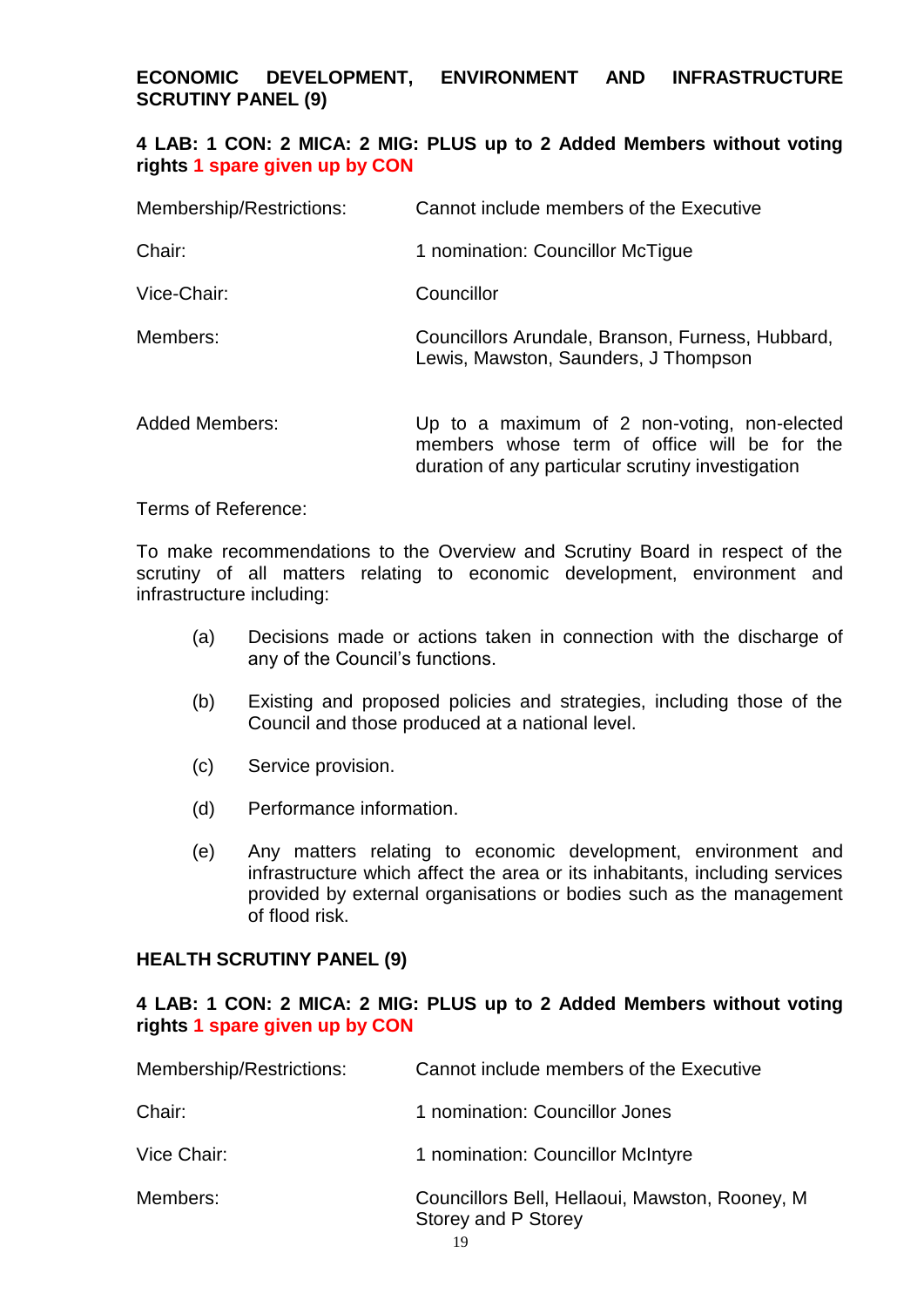**ECONOMIC DEVELOPMENT, ENVIRONMENT AND INFRASTRUCTURE SCRUTINY PANEL (9)**

#### **4 LAB: 1 CON: 2 MICA: 2 MIG: PLUS up to 2 Added Members without voting rights 1 spare given up by CON**

| Membership/Restrictions: | Cannot include members of the Executive                                                                                                           |
|--------------------------|---------------------------------------------------------------------------------------------------------------------------------------------------|
| Chair:                   | 1 nomination: Councillor McTigue                                                                                                                  |
| Vice-Chair:              | Councillor                                                                                                                                        |
| Members:                 | Councillors Arundale, Branson, Furness, Hubbard,<br>Lewis, Mawston, Saunders, J Thompson                                                          |
| <b>Added Members:</b>    | Up to a maximum of 2 non-voting, non-elected<br>members whose term of office will be for the<br>duration of any particular scrutiny investigation |

Terms of Reference:

To make recommendations to the Overview and Scrutiny Board in respect of the scrutiny of all matters relating to economic development, environment and infrastructure including:

- (a) Decisions made or actions taken in connection with the discharge of any of the Council's functions.
- (b) Existing and proposed policies and strategies, including those of the Council and those produced at a national level.
- (c) Service provision.
- (d) Performance information.
- (e) Any matters relating to economic development, environment and infrastructure which affect the area or its inhabitants, including services provided by external organisations or bodies such as the management of flood risk.

#### **HEALTH SCRUTINY PANEL (9)**

#### **4 LAB: 1 CON: 2 MICA: 2 MIG: PLUS up to 2 Added Members without voting rights 1 spare given up by CON**

| Membership/Restrictions: | Cannot include members of the Executive                                |
|--------------------------|------------------------------------------------------------------------|
| Chair:                   | 1 nomination: Councillor Jones                                         |
| Vice Chair:              | 1 nomination: Councillor McIntyre                                      |
| Members:                 | Councillors Bell, Hellaoui, Mawston, Rooney, M.<br>Storey and P Storey |
|                          | 19                                                                     |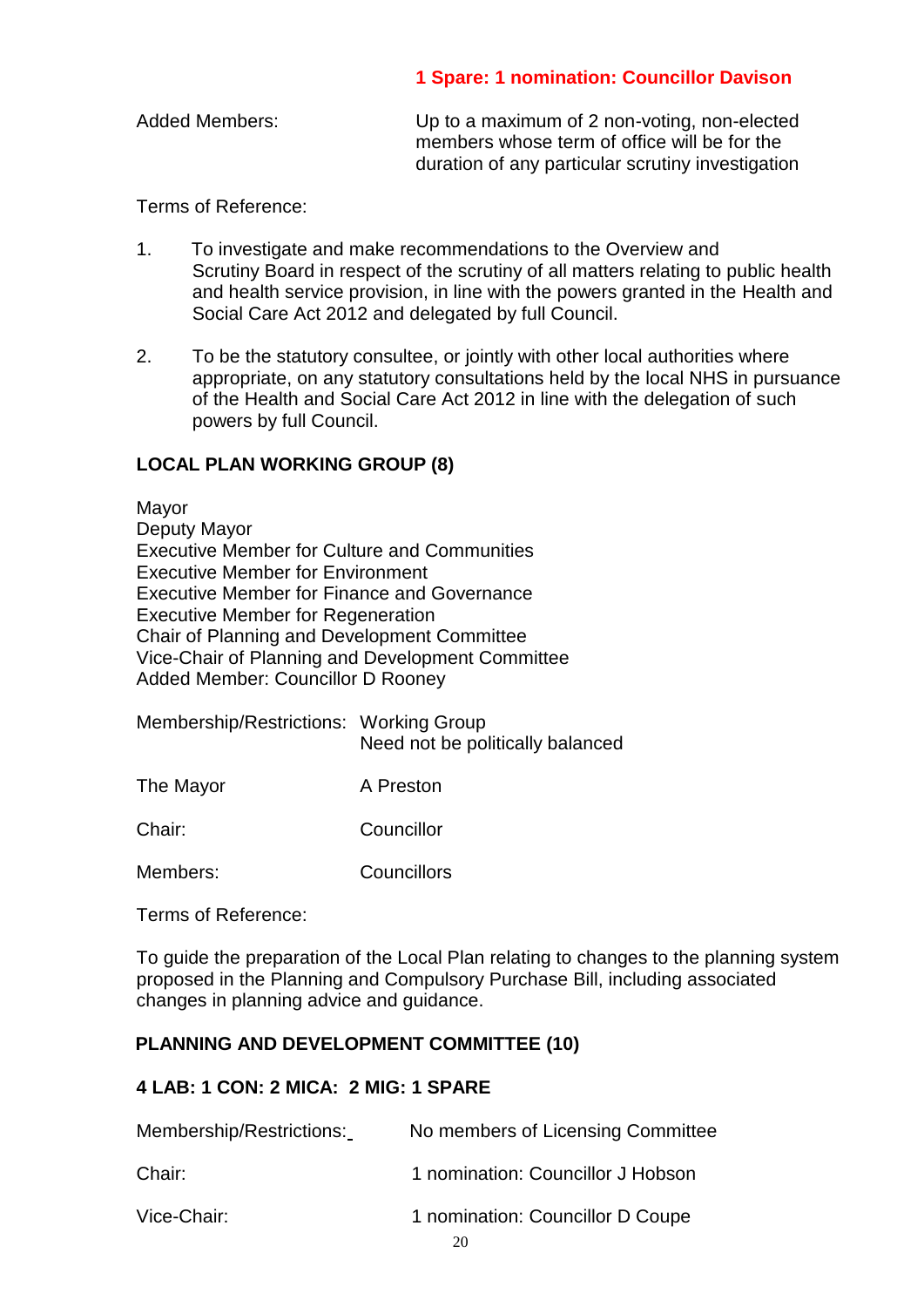### **1 Spare: 1 nomination: Councillor Davison**

| <b>Added Members:</b> | Up to a maximum of 2 non-voting, non-elected<br>members whose term of office will be for the |
|-----------------------|----------------------------------------------------------------------------------------------|
|                       | duration of any particular scrutiny investigation                                            |

Terms of Reference:

- 1. To investigate and make recommendations to the Overview and Scrutiny Board in respect of the scrutiny of all matters relating to public health and health service provision, in line with the powers granted in the Health and Social Care Act 2012 and delegated by full Council.
- 2. To be the statutory consultee, or jointly with other local authorities where appropriate, on any statutory consultations held by the local NHS in pursuance of the Health and Social Care Act 2012 in line with the delegation of such powers by full Council.

### **LOCAL PLAN WORKING GROUP (8)**

Mayor Deputy Mayor Executive Member for Culture and Communities Executive Member for Environment Executive Member for Finance and Governance Executive Member for Regeneration Chair of Planning and Development Committee Vice-Chair of Planning and Development Committee Added Member: Councillor D Rooney

| Membership/Restrictions: Working Group | Need not be politically balanced |
|----------------------------------------|----------------------------------|
| The Mayor                              | A Preston                        |

Chair: Councillor

Members: Councillors

Terms of Reference:

To guide the preparation of the Local Plan relating to changes to the planning system proposed in the Planning and Compulsory Purchase Bill, including associated changes in planning advice and guidance.

## **PLANNING AND DEVELOPMENT COMMITTEE (10)**

#### **4 LAB: 1 CON: 2 MICA: 2 MIG: 1 SPARE**

| Membership/Restrictions: | No members of Licensing Committee      |
|--------------------------|----------------------------------------|
| Chair:                   | 1 nomination: Councillor J Hobson      |
| Vice-Chair:              | 1 nomination: Councillor D Coupe<br>20 |
|                          |                                        |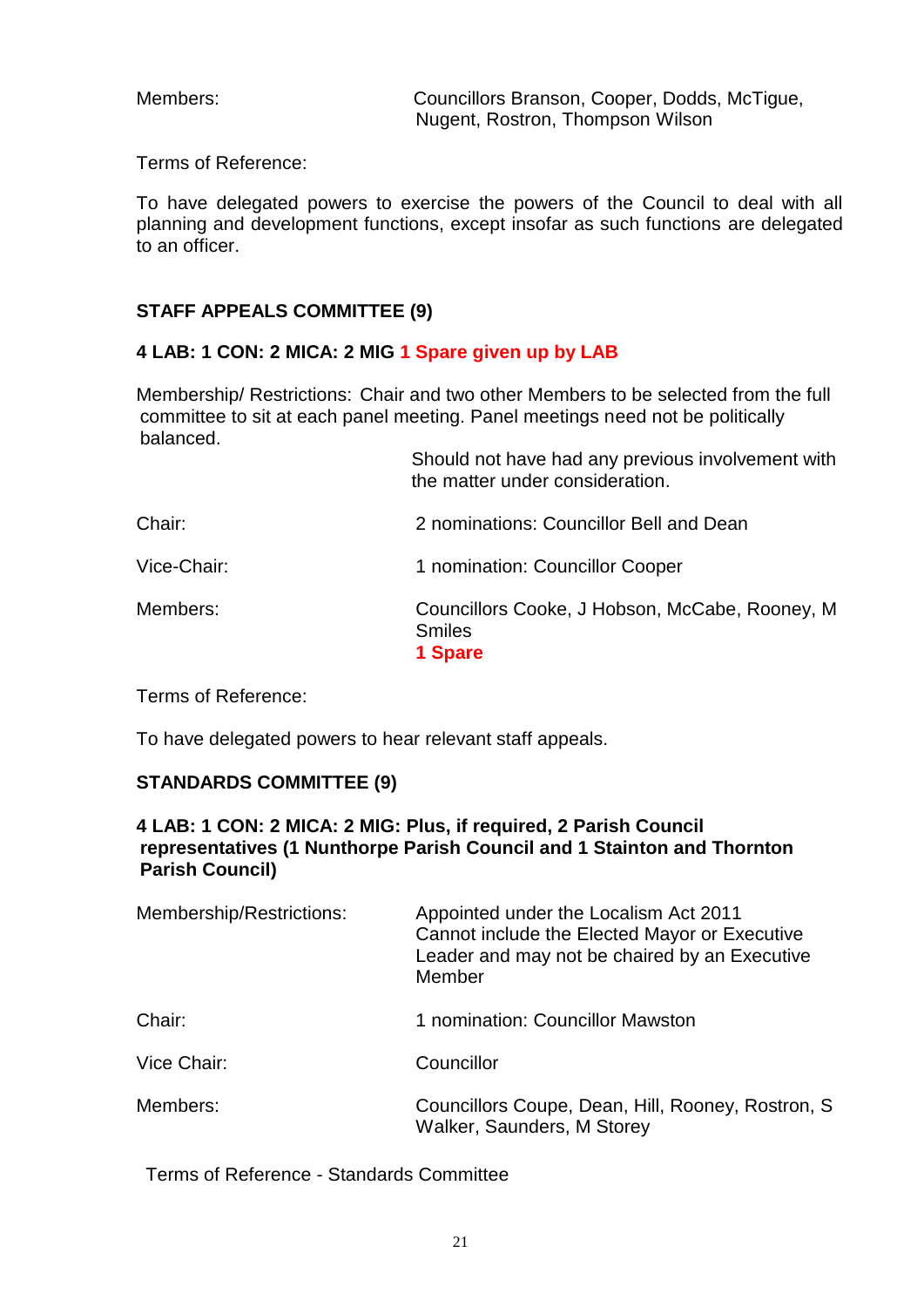Members: Councillors Branson, Cooper, Dodds, McTigue, Nugent, Rostron, Thompson Wilson

Terms of Reference:

To have delegated powers to exercise the powers of the Council to deal with all planning and development functions, except insofar as such functions are delegated to an officer.

## **STAFF APPEALS COMMITTEE (9)**

### **4 LAB: 1 CON: 2 MICA: 2 MIG 1 Spare given up by LAB**

Membership/ Restrictions: Chair and two other Members to be selected from the full committee to sit at each panel meeting. Panel meetings need not be politically balanced.

| Should not have had any previous involvement with<br>the matter under consideration. |
|--------------------------------------------------------------------------------------|
| 2 nominations: Councillor Bell and Dean                                              |
| 1 nomination: Councillor Cooper                                                      |
| Councillors Cooke, J Hobson, McCabe, Rooney, M<br><b>Smiles</b><br>1 Spare           |
|                                                                                      |

Terms of Reference:

To have delegated powers to hear relevant staff appeals.

#### **STANDARDS COMMITTEE (9)**

### **4 LAB: 1 CON: 2 MICA: 2 MIG: Plus, if required, 2 Parish Council representatives (1 Nunthorpe Parish Council and 1 Stainton and Thornton Parish Council)**

| Membership/Restrictions: | Appointed under the Localism Act 2011<br>Cannot include the Elected Mayor or Executive<br>Leader and may not be chaired by an Executive<br>Member |
|--------------------------|---------------------------------------------------------------------------------------------------------------------------------------------------|
| Chair:                   | 1 nomination: Councillor Mawston                                                                                                                  |
| Vice Chair:              | Councillor                                                                                                                                        |
| Members:                 | Councillors Coupe, Dean, Hill, Rooney, Rostron, S.<br>Walker, Saunders, M Storey                                                                  |

Terms of Reference - Standards Committee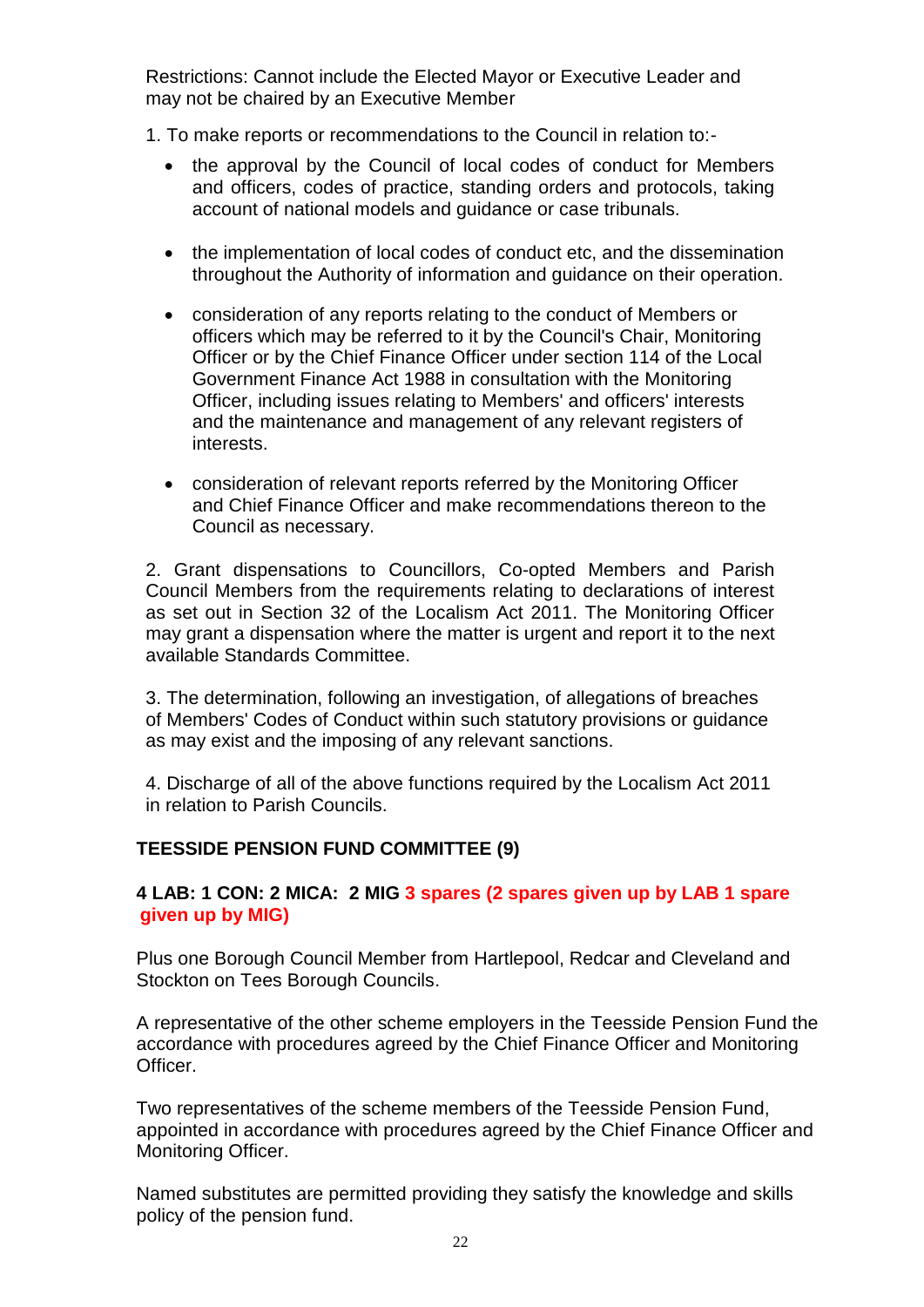Restrictions: Cannot include the Elected Mayor or Executive Leader and may not be chaired by an Executive Member

1. To make reports or recommendations to the Council in relation to:-

- the approval by the Council of local codes of conduct for Members and officers, codes of practice, standing orders and protocols, taking account of national models and guidance or case tribunals.
- the implementation of local codes of conduct etc, and the dissemination throughout the Authority of information and guidance on their operation.
- consideration of any reports relating to the conduct of Members or officers which may be referred to it by the Council's Chair, Monitoring Officer or by the Chief Finance Officer under section 114 of the Local Government Finance Act 1988 in consultation with the Monitoring Officer, including issues relating to Members' and officers' interests and the maintenance and management of any relevant registers of interests.
- consideration of relevant reports referred by the Monitoring Officer and Chief Finance Officer and make recommendations thereon to the Council as necessary.

2. Grant dispensations to Councillors, Co-opted Members and Parish Council Members from the requirements relating to declarations of interest as set out in Section 32 of the Localism Act 2011. The Monitoring Officer may grant a dispensation where the matter is urgent and report it to the next available Standards Committee.

3. The determination, following an investigation, of allegations of breaches of Members' Codes of Conduct within such statutory provisions or guidance as may exist and the imposing of any relevant sanctions.

4. Discharge of all of the above functions required by the Localism Act 2011 in relation to Parish Councils.

#### **TEESSIDE PENSION FUND COMMITTEE (9)**

### **4 LAB: 1 CON: 2 MICA: 2 MIG 3 spares (2 spares given up by LAB 1 spare given up by MIG)**

Plus one Borough Council Member from Hartlepool, Redcar and Cleveland and Stockton on Tees Borough Councils.

A representative of the other scheme employers in the Teesside Pension Fund the accordance with procedures agreed by the Chief Finance Officer and Monitoring Officer.

Two representatives of the scheme members of the Teesside Pension Fund, appointed in accordance with procedures agreed by the Chief Finance Officer and Monitoring Officer.

Named substitutes are permitted providing they satisfy the knowledge and skills policy of the pension fund.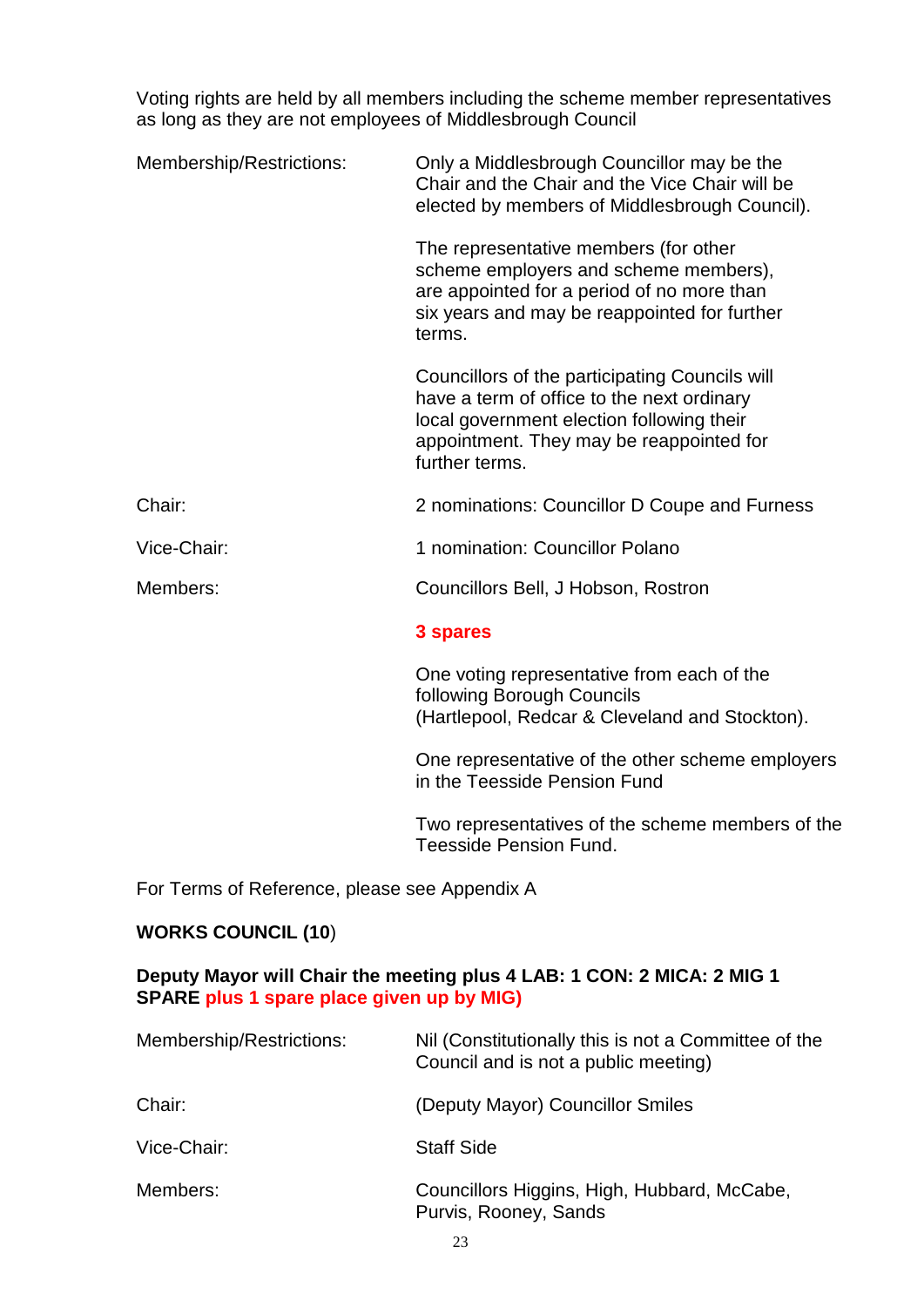Voting rights are held by all members including the scheme member representatives as long as they are not employees of Middlesbrough Council

| Membership/Restrictions: | Only a Middlesbrough Councillor may be the<br>Chair and the Chair and the Vice Chair will be<br>elected by members of Middlesbrough Council).                                                           |
|--------------------------|---------------------------------------------------------------------------------------------------------------------------------------------------------------------------------------------------------|
|                          | The representative members (for other<br>scheme employers and scheme members),<br>are appointed for a period of no more than<br>six years and may be reappointed for further<br>terms.                  |
|                          | Councillors of the participating Councils will<br>have a term of office to the next ordinary<br>local government election following their<br>appointment. They may be reappointed for<br>further terms. |
| Chair:                   | 2 nominations: Councillor D Coupe and Furness                                                                                                                                                           |
| Vice-Chair:              | 1 nomination: Councillor Polano                                                                                                                                                                         |
| Members:                 | Councillors Bell, J Hobson, Rostron                                                                                                                                                                     |
|                          | 3 spares                                                                                                                                                                                                |
|                          | One voting representative from each of the<br>following Borough Councils<br>(Hartlepool, Redcar & Cleveland and Stockton).                                                                              |
|                          | One representative of the other scheme employers<br>in the Teesside Pension Fund                                                                                                                        |
|                          | Two representatives of the scheme members of the                                                                                                                                                        |

For Terms of Reference, please see Appendix A

# **WORKS COUNCIL (10**)

## **Deputy Mayor will Chair the meeting plus 4 LAB: 1 CON: 2 MICA: 2 MIG 1 SPARE plus 1 spare place given up by MIG)**

Teesside Pension Fund.

| Membership/Restrictions: | Nil (Constitutionally this is not a Committee of the<br>Council and is not a public meeting) |
|--------------------------|----------------------------------------------------------------------------------------------|
| Chair:                   | (Deputy Mayor) Councillor Smiles                                                             |
| Vice-Chair:              | <b>Staff Side</b>                                                                            |
| Members:                 | Councillors Higgins, High, Hubbard, McCabe,<br>Purvis, Rooney, Sands                         |